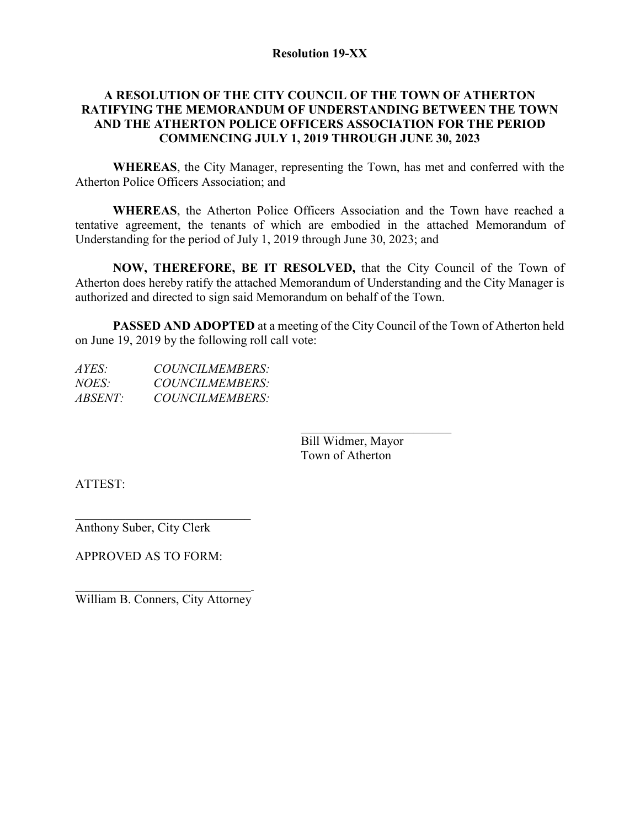#### **Resolution 19-XX**

# **A RESOLUTION OF THE CITY COUNCIL OF THE TOWN OF ATHERTON RATIFYING THE MEMORANDUM OF UNDERSTANDING BETWEEN THE TOWN AND THE ATHERTON POLICE OFFICERS ASSOCIATION FOR THE PERIOD COMMENCING JULY 1, 2019 THROUGH JUNE 30, 2023**

**WHEREAS**, the City Manager, representing the Town, has met and conferred with the Atherton Police Officers Association; and

**WHEREAS**, the Atherton Police Officers Association and the Town have reached a tentative agreement, the tenants of which are embodied in the attached Memorandum of Understanding for the period of July 1, 2019 through June 30, 2023; and

**NOW, THEREFORE, BE IT RESOLVED,** that the City Council of the Town of Atherton does hereby ratify the attached Memorandum of Understanding and the City Manager is authorized and directed to sign said Memorandum on behalf of the Town.

**PASSED AND ADOPTED** at a meeting of the City Council of the Town of Atherton held on June 19, 2019 by the following roll call vote:

| COUNCILMEMBERS: |
|-----------------|
| COUNCILMEMBERS: |
| COUNCILMEMBERS: |
|                 |

 $\mathcal{L}_\text{max}$  , which is a set of the set of the set of the set of the set of the set of the set of the set of the set of the set of the set of the set of the set of the set of the set of the set of the set of the set of Bill Widmer, Mayor Town of Atherton

ATTEST:

 $\overline{\phantom{a}}$  , and the set of the set of the set of the set of the set of the set of the set of the set of the set of the set of the set of the set of the set of the set of the set of the set of the set of the set of the s Anthony Suber, City Clerk

APPROVED AS TO FORM:

 $\overline{\mathcal{L}}$  , which is a set of the set of the set of the set of the set of the set of the set of the set of the set of the set of the set of the set of the set of the set of the set of the set of the set of the set of th William B. Conners, City Attorney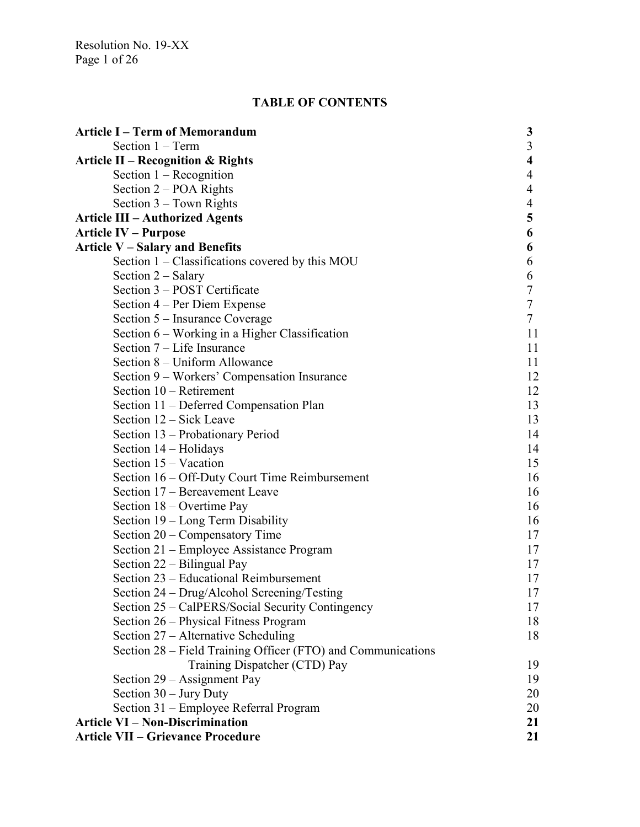Resolution No. 19-XX Page 1 of 26

# **TABLE OF CONTENTS**

| <b>Article I – Term of Memorandum</b>                        | 3                |
|--------------------------------------------------------------|------------------|
| Section $1 - Term$                                           | 3                |
| <b>Article II – Recognition &amp; Rights</b>                 | 4                |
| Section $1 -$ Recognition                                    | 4                |
| Section 2 – POA Rights                                       | 4                |
| Section $3 - Town$ Rights                                    | 4                |
| <b>Article III – Authorized Agents</b>                       | 5                |
| <b>Article IV – Purpose</b>                                  | 6                |
| <b>Article V - Salary and Benefits</b>                       | 6                |
| Section 1 - Classifications covered by this MOU              | 6                |
| Section $2$ – Salary                                         | 6                |
| Section 3 – POST Certificate                                 | $\boldsymbol{7}$ |
| Section 4 – Per Diem Expense                                 | 7                |
| Section 5 – Insurance Coverage                               | $\tau$           |
| Section $6$ – Working in a Higher Classification             | 11               |
| Section $7 -$ Life Insurance                                 | 11               |
| Section 8 – Uniform Allowance                                | 11               |
| Section 9 - Workers' Compensation Insurance                  | 12               |
| Section $10$ – Retirement                                    | 12               |
| Section 11 - Deferred Compensation Plan                      | 13               |
| Section 12 – Sick Leave                                      | 13               |
| Section 13 – Probationary Period                             | 14               |
| Section $14 -$ Holidays                                      | 14               |
| Section $15 - Vacation$                                      | 15               |
| Section 16 – Off-Duty Court Time Reimbursement               | 16               |
| Section 17 - Bereavement Leave                               | 16               |
| Section 18 – Overtime Pay                                    | 16               |
| Section 19 – Long Term Disability                            | 16               |
| Section $20$ – Compensatory Time                             | 17               |
| Section 21 – Employee Assistance Program                     | 17               |
| Section 22 – Bilingual Pay                                   | 17               |
| Section 23 – Educational Reimbursement                       | 17               |
| Section 24 – Drug/Alcohol Screening/Testing                  | 17               |
| Section 25 - CalPERS/Social Security Contingency             | 17               |
| Section 26 – Physical Fitness Program                        | 18               |
| Section 27 – Alternative Scheduling                          | 18               |
| Section 28 – Field Training Officer (FTO) and Communications |                  |
| Training Dispatcher (CTD) Pay                                | 19               |
| Section 29 - Assignment Pay                                  | 19               |
| Section $30 -$ Jury Duty                                     | 20               |
| Section 31 – Employee Referral Program                       | 20               |
| <b>Article VI - Non-Discrimination</b>                       | 21               |
| <b>Article VII - Grievance Procedure</b>                     | 21               |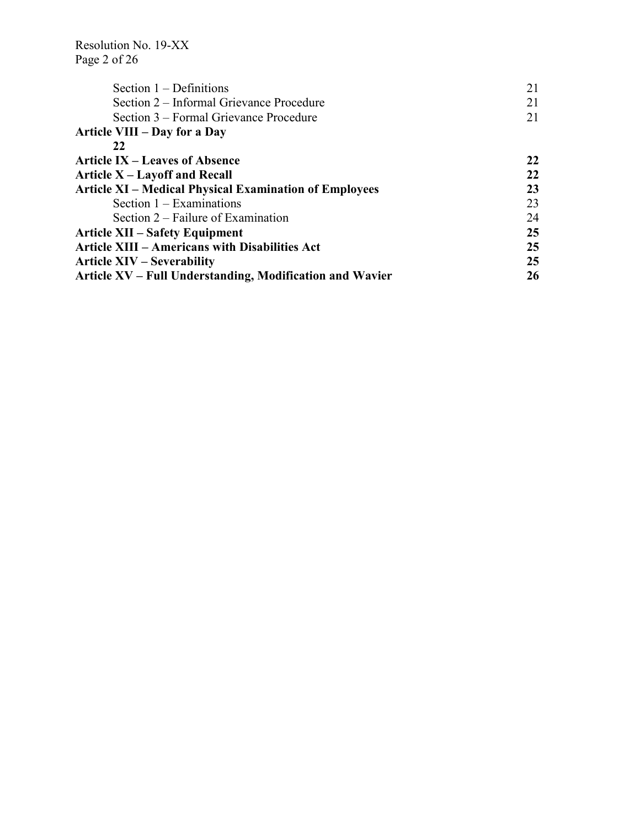Resolution No. 19-XX Page 2 of 26

| Section $1 -$ Definitions                                     | 21 |
|---------------------------------------------------------------|----|
| Section 2 – Informal Grievance Procedure                      | 21 |
| Section 3 – Formal Grievance Procedure                        | 21 |
| Article VIII – Day for a Day                                  |    |
| 22                                                            |    |
| <b>Article IX – Leaves of Absence</b>                         | 22 |
| Article $X - L$ ayoff and Recall                              | 22 |
| <b>Article XI – Medical Physical Examination of Employees</b> | 23 |
| Section $1 - Examinations$                                    | 23 |
| Section $2$ – Failure of Examination                          | 24 |
| <b>Article XII – Safety Equipment</b>                         | 25 |
| <b>Article XIII – Americans with Disabilities Act</b>         | 25 |
| <b>Article XIV – Severability</b>                             | 25 |
| Article XV – Full Understanding, Modification and Wavier      | 26 |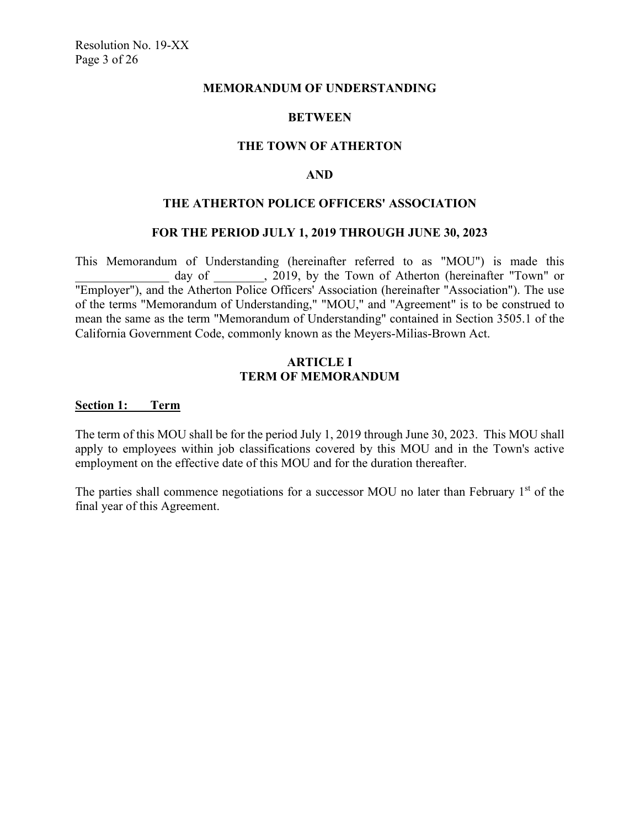#### **MEMORANDUM OF UNDERSTANDING**

## **BETWEEN**

#### **THE TOWN OF ATHERTON**

## **AND**

#### **THE ATHERTON POLICE OFFICERS' ASSOCIATION**

#### **FOR THE PERIOD JULY 1, 2019 THROUGH JUNE 30, 2023**

This Memorandum of Understanding (hereinafter referred to as "MOU") is made this day of  $\qquad$ , 2019, by the Town of Atherton (hereinafter "Town" or "Employer"), and the Atherton Police Officers' Association (hereinafter "Association"). The use of the terms "Memorandum of Understanding," "MOU," and "Agreement" is to be construed to mean the same as the term "Memorandum of Understanding" contained in Section 3505.1 of the California Government Code, commonly known as the Meyers-Milias-Brown Act.

#### **ARTICLE I TERM OF MEMORANDUM**

#### **Section 1: Term**

The term of this MOU shall be for the period July 1, 2019 through June 30, 2023. This MOU shall apply to employees within job classifications covered by this MOU and in the Town's active employment on the effective date of this MOU and for the duration thereafter.

The parties shall commence negotiations for a successor MOU no later than February  $1<sup>st</sup>$  of the final year of this Agreement.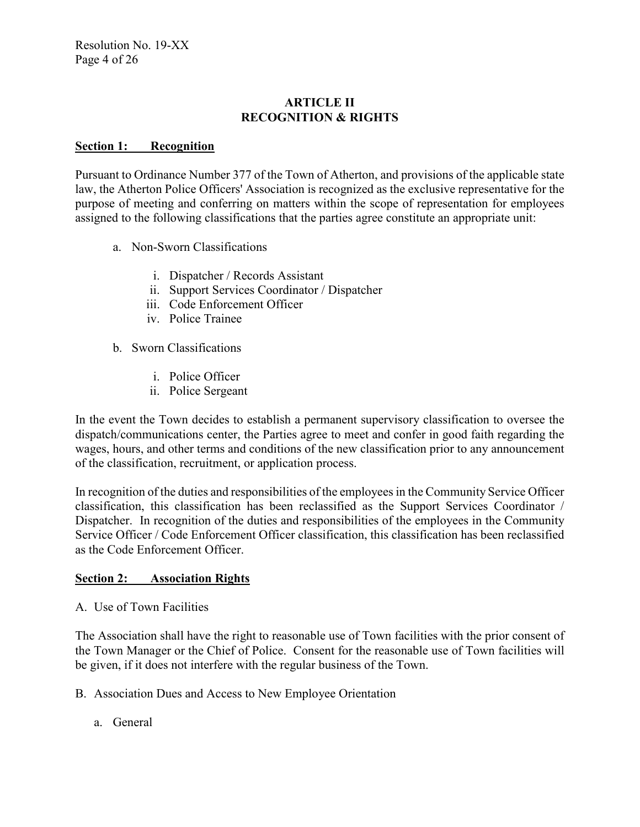# **ARTICLE II RECOGNITION & RIGHTS**

## **Section 1: Recognition**

Pursuant to Ordinance Number 377 of the Town of Atherton, and provisions of the applicable state law, the Atherton Police Officers' Association is recognized as the exclusive representative for the purpose of meeting and conferring on matters within the scope of representation for employees assigned to the following classifications that the parties agree constitute an appropriate unit:

- a. Non-Sworn Classifications
	- i. Dispatcher / Records Assistant
	- ii. Support Services Coordinator / Dispatcher
	- iii. Code Enforcement Officer
	- iv. Police Trainee
- b. Sworn Classifications
	- i. Police Officer
	- ii. Police Sergeant

In the event the Town decides to establish a permanent supervisory classification to oversee the dispatch/communications center, the Parties agree to meet and confer in good faith regarding the wages, hours, and other terms and conditions of the new classification prior to any announcement of the classification, recruitment, or application process.

In recognition of the duties and responsibilities of the employees in the Community Service Officer classification, this classification has been reclassified as the Support Services Coordinator / Dispatcher. In recognition of the duties and responsibilities of the employees in the Community Service Officer / Code Enforcement Officer classification, this classification has been reclassified as the Code Enforcement Officer.

# **Section 2: Association Rights**

A. Use of Town Facilities

The Association shall have the right to reasonable use of Town facilities with the prior consent of the Town Manager or the Chief of Police. Consent for the reasonable use of Town facilities will be given, if it does not interfere with the regular business of the Town.

- B. Association Dues and Access to New Employee Orientation
	- a. General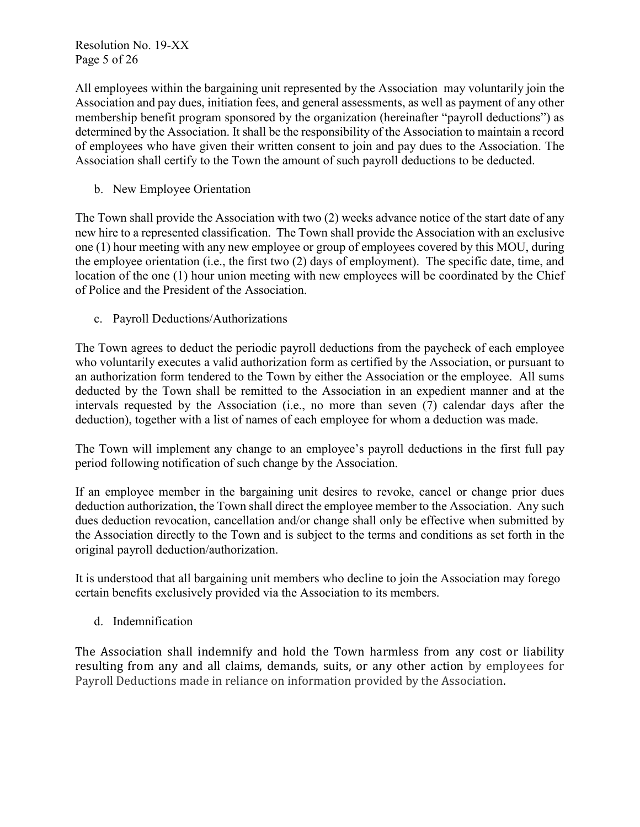Resolution No. 19-XX Page 5 of 26

All employees within the bargaining unit represented by the Association may voluntarily join the Association and pay dues, initiation fees, and general assessments, as well as payment of any other membership benefit program sponsored by the organization (hereinafter "payroll deductions") as determined by the Association. It shall be the responsibility of the Association to maintain a record of employees who have given their written consent to join and pay dues to the Association. The Association shall certify to the Town the amount of such payroll deductions to be deducted.

b. New Employee Orientation

The Town shall provide the Association with two (2) weeks advance notice of the start date of any new hire to a represented classification. The Town shall provide the Association with an exclusive one (1) hour meeting with any new employee or group of employees covered by this MOU, during the employee orientation (i.e., the first two (2) days of employment). The specific date, time, and location of the one (1) hour union meeting with new employees will be coordinated by the Chief of Police and the President of the Association.

c. Payroll Deductions/Authorizations

The Town agrees to deduct the periodic payroll deductions from the paycheck of each employee who voluntarily executes a valid authorization form as certified by the Association, or pursuant to an authorization form tendered to the Town by either the Association or the employee. All sums deducted by the Town shall be remitted to the Association in an expedient manner and at the intervals requested by the Association (i.e., no more than seven (7) calendar days after the deduction), together with a list of names of each employee for whom a deduction was made.

The Town will implement any change to an employee's payroll deductions in the first full pay period following notification of such change by the Association.

If an employee member in the bargaining unit desires to revoke, cancel or change prior dues deduction authorization, the Town shall direct the employee member to the Association. Any such dues deduction revocation, cancellation and/or change shall only be effective when submitted by the Association directly to the Town and is subject to the terms and conditions as set forth in the original payroll deduction/authorization.

It is understood that all bargaining unit members who decline to join the Association may forego certain benefits exclusively provided via the Association to its members.

d. Indemnification

The Association shall indemnify and hold the Town harmless from any cost or liability resulting from any and all claims, demands, suits, or any other action by employees for Payroll Deductions made in reliance on information provided by the Association.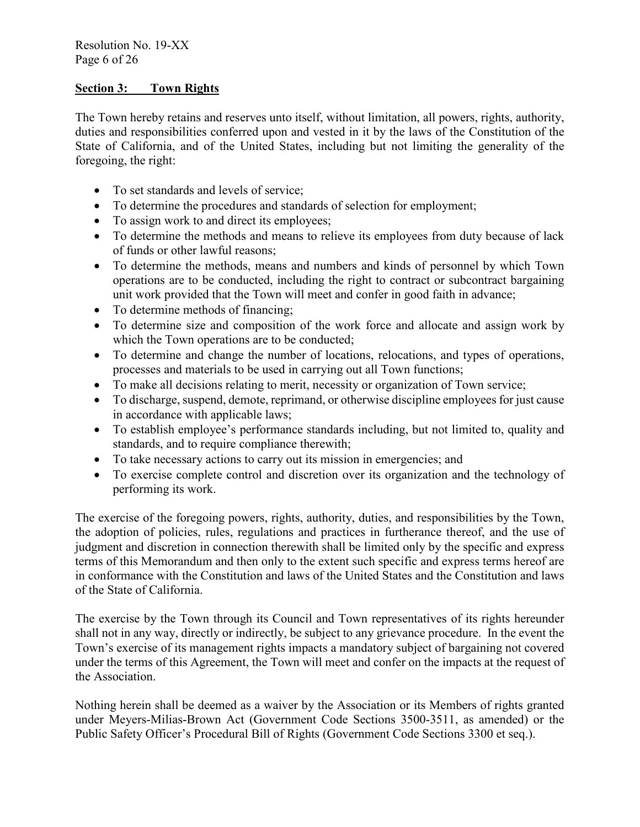# **Section 3: Town Rights**

The Town hereby retains and reserves unto itself, without limitation, all powers, rights, authority, duties and responsibilities conferred upon and vested in it by the laws of the Constitution of the State of California, and of the United States, including but not limiting the generality of the foregoing, the right:

- To set standards and levels of service;
- To determine the procedures and standards of selection for employment;
- To assign work to and direct its employees;
- To determine the methods and means to relieve its employees from duty because of lack of funds or other lawful reasons;
- To determine the methods, means and numbers and kinds of personnel by which Town operations are to be conducted, including the right to contract or subcontract bargaining unit work provided that the Town will meet and confer in good faith in advance;
- To determine methods of financing;
- To determine size and composition of the work force and allocate and assign work by which the Town operations are to be conducted;
- To determine and change the number of locations, relocations, and types of operations, processes and materials to be used in carrying out all Town functions;
- To make all decisions relating to merit, necessity or organization of Town service;
- To discharge, suspend, demote, reprimand, or otherwise discipline employees for just cause in accordance with applicable laws;
- To establish employee's performance standards including, but not limited to, quality and standards, and to require compliance therewith;
- To take necessary actions to carry out its mission in emergencies; and
- To exercise complete control and discretion over its organization and the technology of performing its work.

The exercise of the foregoing powers, rights, authority, duties, and responsibilities by the Town, the adoption of policies, rules, regulations and practices in furtherance thereof, and the use of judgment and discretion in connection therewith shall be limited only by the specific and express terms of this Memorandum and then only to the extent such specific and express terms hereof are in conformance with the Constitution and laws of the United States and the Constitution and laws of the State of California.

The exercise by the Town through its Council and Town representatives of its rights hereunder shall not in any way, directly or indirectly, be subject to any grievance procedure. In the event the Town's exercise of its management rights impacts a mandatory subject of bargaining not covered under the terms of this Agreement, the Town will meet and confer on the impacts at the request of the Association.

Nothing herein shall be deemed as a waiver by the Association or its Members of rights granted under Meyers-Milias-Brown Act (Government Code Sections 3500-3511, as amended) or the Public Safety Officer's Procedural Bill of Rights (Government Code Sections 3300 et seq.).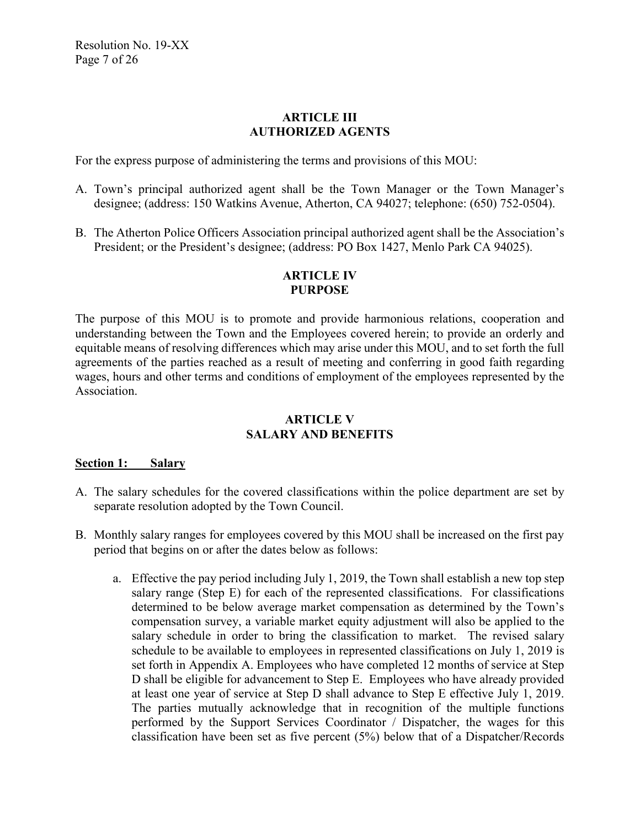## **ARTICLE III AUTHORIZED AGENTS**

For the express purpose of administering the terms and provisions of this MOU:

- A. Town's principal authorized agent shall be the Town Manager or the Town Manager's designee; (address: 150 Watkins Avenue, Atherton, CA 94027; telephone: (650) 752-0504).
- B. The Atherton Police Officers Association principal authorized agent shall be the Association's President; or the President's designee; (address: PO Box 1427, Menlo Park CA 94025).

## **ARTICLE IV PURPOSE**

The purpose of this MOU is to promote and provide harmonious relations, cooperation and understanding between the Town and the Employees covered herein; to provide an orderly and equitable means of resolving differences which may arise under this MOU, and to set forth the full agreements of the parties reached as a result of meeting and conferring in good faith regarding wages, hours and other terms and conditions of employment of the employees represented by the Association.

# **ARTICLE V SALARY AND BENEFITS**

#### **Section 1: Salary**

- A. The salary schedules for the covered classifications within the police department are set by separate resolution adopted by the Town Council.
- B. Monthly salary ranges for employees covered by this MOU shall be increased on the first pay period that begins on or after the dates below as follows:
	- a. Effective the pay period including July 1, 2019, the Town shall establish a new top step salary range (Step E) for each of the represented classifications. For classifications determined to be below average market compensation as determined by the Town's compensation survey, a variable market equity adjustment will also be applied to the salary schedule in order to bring the classification to market. The revised salary schedule to be available to employees in represented classifications on July 1, 2019 is set forth in Appendix A. Employees who have completed 12 months of service at Step D shall be eligible for advancement to Step E. Employees who have already provided at least one year of service at Step D shall advance to Step E effective July 1, 2019. The parties mutually acknowledge that in recognition of the multiple functions performed by the Support Services Coordinator / Dispatcher, the wages for this classification have been set as five percent (5%) below that of a Dispatcher/Records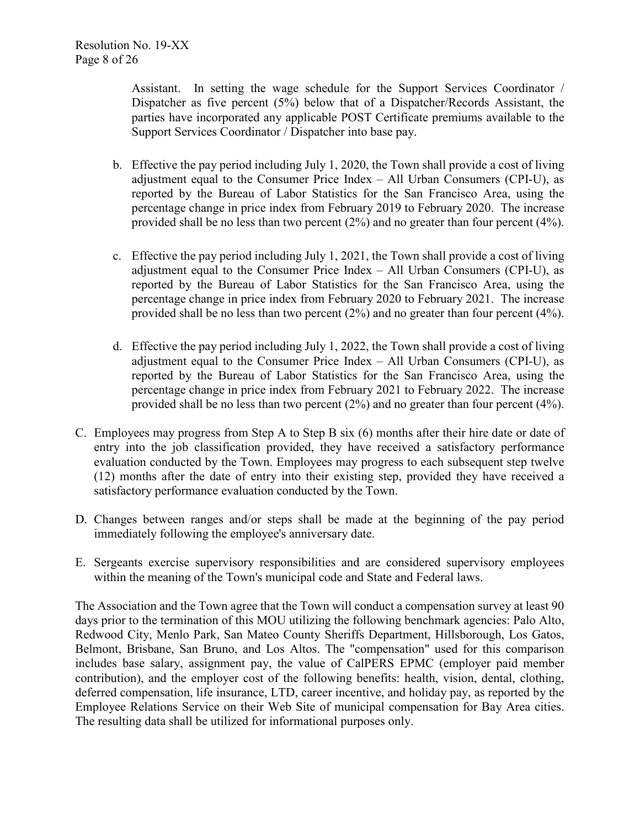Assistant. In setting the wage schedule for the Support Services Coordinator / Dispatcher as five percent (5%) below that of a Dispatcher/Records Assistant, the parties have incorporated any applicable POST Certificate premiums available to the Support Services Coordinator / Dispatcher into base pay.

- b. Effective the pay period including July 1, 2020, the Town shall provide a cost of living adjustment equal to the Consumer Price Index – All Urban Consumers (CPI-U), as reported by the Bureau of Labor Statistics for the San Francisco Area, using the percentage change in price index from February 2019 to February 2020. The increase provided shall be no less than two percent (2%) and no greater than four percent (4%).
- c. Effective the pay period including July 1, 2021, the Town shall provide a cost of living adjustment equal to the Consumer Price Index – All Urban Consumers (CPI-U), as reported by the Bureau of Labor Statistics for the San Francisco Area, using the percentage change in price index from February 2020 to February 2021. The increase provided shall be no less than two percent (2%) and no greater than four percent (4%).
- d. Effective the pay period including July 1, 2022, the Town shall provide a cost of living adjustment equal to the Consumer Price Index – All Urban Consumers (CPI-U), as reported by the Bureau of Labor Statistics for the San Francisco Area, using the percentage change in price index from February 2021 to February 2022. The increase provided shall be no less than two percent (2%) and no greater than four percent (4%).
- C. Employees may progress from Step A to Step B six (6) months after their hire date or date of entry into the job classification provided, they have received a satisfactory performance evaluation conducted by the Town. Employees may progress to each subsequent step twelve (12) months after the date of entry into their existing step, provided they have received a satisfactory performance evaluation conducted by the Town.
- D. Changes between ranges and/or steps shall be made at the beginning of the pay period immediately following the employee's anniversary date.
- E. Sergeants exercise supervisory responsibilities and are considered supervisory employees within the meaning of the Town's municipal code and State and Federal laws.

The Association and the Town agree that the Town will conduct a compensation survey at least 90 days prior to the termination of this MOU utilizing the following benchmark agencies: Palo Alto, Redwood City, Menlo Park, San Mateo County Sheriffs Department, Hillsborough, Los Gatos, Belmont, Brisbane, San Bruno, and Los Altos. The "compensation" used for this comparison includes base salary, assignment pay, the value of CalPERS EPMC (employer paid member contribution), and the employer cost of the following benefits: health, vision, dental, clothing, deferred compensation, life insurance, LTD, career incentive, and holiday pay, as reported by the Employee Relations Service on their Web Site of municipal compensation for Bay Area cities. The resulting data shall be utilized for informational purposes only.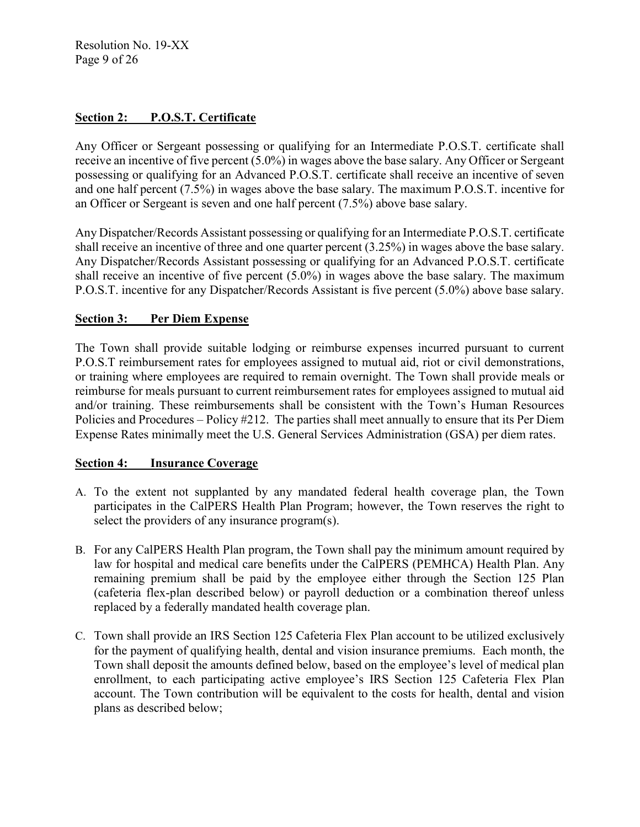Resolution No. 19-XX Page 9 of 26

# **Section 2: P.O.S.T. Certificate**

Any Officer or Sergeant possessing or qualifying for an Intermediate P.O.S.T. certificate shall receive an incentive of five percent (5.0%) in wages above the base salary. Any Officer or Sergeant possessing or qualifying for an Advanced P.O.S.T. certificate shall receive an incentive of seven and one half percent (7.5%) in wages above the base salary. The maximum P.O.S.T. incentive for an Officer or Sergeant is seven and one half percent (7.5%) above base salary.

Any Dispatcher/Records Assistant possessing or qualifying for an Intermediate P.O.S.T. certificate shall receive an incentive of three and one quarter percent (3.25%) in wages above the base salary. Any Dispatcher/Records Assistant possessing or qualifying for an Advanced P.O.S.T. certificate shall receive an incentive of five percent (5.0%) in wages above the base salary. The maximum P.O.S.T. incentive for any Dispatcher/Records Assistant is five percent (5.0%) above base salary.

## **Section 3: Per Diem Expense**

The Town shall provide suitable lodging or reimburse expenses incurred pursuant to current P.O.S.T reimbursement rates for employees assigned to mutual aid, riot or civil demonstrations, or training where employees are required to remain overnight. The Town shall provide meals or reimburse for meals pursuant to current reimbursement rates for employees assigned to mutual aid and/or training. These reimbursements shall be consistent with the Town's Human Resources Policies and Procedures – Policy #212. The parties shall meet annually to ensure that its Per Diem Expense Rates minimally meet the U.S. General Services Administration (GSA) per diem rates.

#### **Section 4: Insurance Coverage**

- A. To the extent not supplanted by any mandated federal health coverage plan, the Town participates in the CalPERS Health Plan Program; however, the Town reserves the right to select the providers of any insurance program(s).
- B. For any CalPERS Health Plan program, the Town shall pay the minimum amount required by law for hospital and medical care benefits under the CalPERS (PEMHCA) Health Plan. Any remaining premium shall be paid by the employee either through the Section 125 Plan (cafeteria flex-plan described below) or payroll deduction or a combination thereof unless replaced by a federally mandated health coverage plan.
- C. Town shall provide an IRS Section 125 Cafeteria Flex Plan account to be utilized exclusively for the payment of qualifying health, dental and vision insurance premiums. Each month, the Town shall deposit the amounts defined below, based on the employee's level of medical plan enrollment, to each participating active employee's IRS Section 125 Cafeteria Flex Plan account. The Town contribution will be equivalent to the costs for health, dental and vision plans as described below;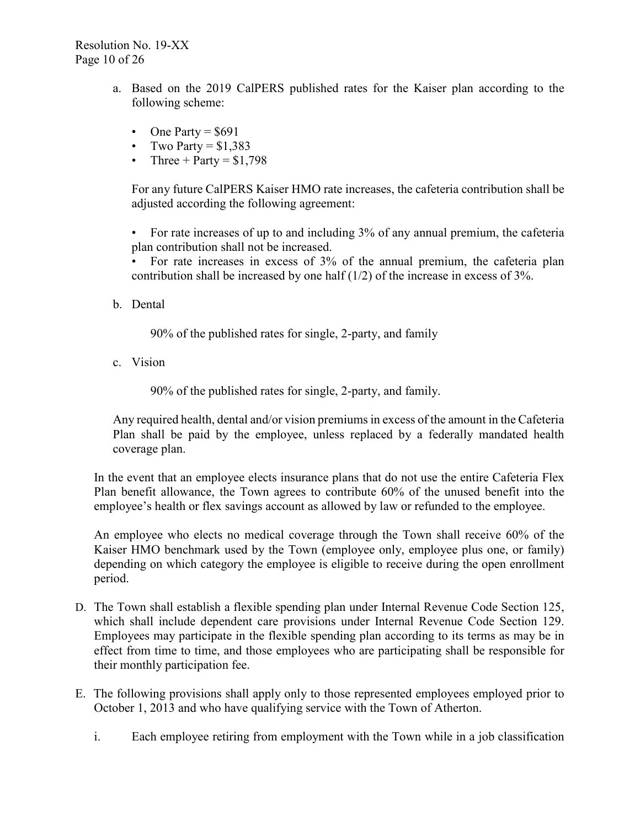- a. Based on the 2019 CalPERS published rates for the Kaiser plan according to the following scheme:
	- One Party  $=$  \$691
	- Two Party  $= $1,383$
	- Three + Party =  $$1,798$

For any future CalPERS Kaiser HMO rate increases, the cafeteria contribution shall be adjusted according the following agreement:

• For rate increases of up to and including 3% of any annual premium, the cafeteria plan contribution shall not be increased.

• For rate increases in excess of 3% of the annual premium, the cafeteria plan contribution shall be increased by one half (1/2) of the increase in excess of 3%.

b. Dental

90% of the published rates for single, 2-party, and family

c. Vision

90% of the published rates for single, 2-party, and family.

Any required health, dental and/or vision premiums in excess of the amount in the Cafeteria Plan shall be paid by the employee, unless replaced by a federally mandated health coverage plan.

In the event that an employee elects insurance plans that do not use the entire Cafeteria Flex Plan benefit allowance, the Town agrees to contribute 60% of the unused benefit into the employee's health or flex savings account as allowed by law or refunded to the employee.

An employee who elects no medical coverage through the Town shall receive 60% of the Kaiser HMO benchmark used by the Town (employee only, employee plus one, or family) depending on which category the employee is eligible to receive during the open enrollment period.

- D. The Town shall establish a flexible spending plan under Internal Revenue Code Section 125, which shall include dependent care provisions under Internal Revenue Code Section 129. Employees may participate in the flexible spending plan according to its terms as may be in effect from time to time, and those employees who are participating shall be responsible for their monthly participation fee.
- E. The following provisions shall apply only to those represented employees employed prior to October 1, 2013 and who have qualifying service with the Town of Atherton.
	- i. Each employee retiring from employment with the Town while in a job classification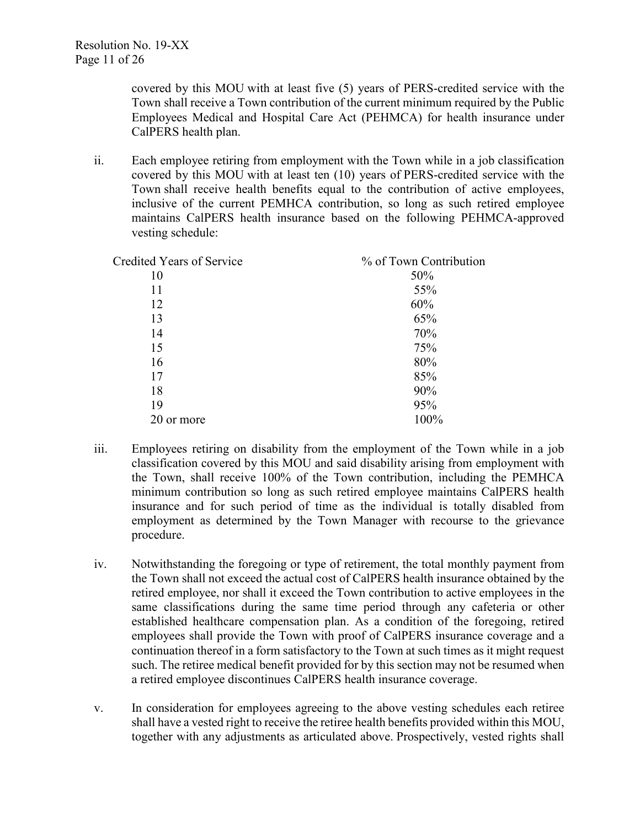covered by this MOU with at least five (5) years of PERS-credited service with the Town shall receive a Town contribution of the current minimum required by the Public Employees Medical and Hospital Care Act (PEHMCA) for health insurance under CalPERS health plan.

ii. Each employee retiring from employment with the Town while in a job classification covered by this MOU with at least ten (10) years of PERS-credited service with the Town shall receive health benefits equal to the contribution of active employees, inclusive of the current PEMHCA contribution, so long as such retired employee maintains CalPERS health insurance based on the following PEHMCA-approved vesting schedule:

| <b>Credited Years of Service</b> | % of Town Contribution |
|----------------------------------|------------------------|
| 10                               | 50%                    |
| 11                               | 55%                    |
| 12                               | 60%                    |
| 13                               | 65%                    |
| 14                               | 70%                    |
| 15                               | 75%                    |
| 16                               | 80%                    |
| 17                               | 85%                    |
| 18                               | 90%                    |
| 19                               | 95%                    |
| 20 or more                       | 100%                   |
|                                  |                        |

- iii. Employees retiring on disability from the employment of the Town while in a job classification covered by this MOU and said disability arising from employment with the Town, shall receive 100% of the Town contribution, including the PEMHCA minimum contribution so long as such retired employee maintains CalPERS health insurance and for such period of time as the individual is totally disabled from employment as determined by the Town Manager with recourse to the grievance procedure.
- iv. Notwithstanding the foregoing or type of retirement, the total monthly payment from the Town shall not exceed the actual cost of CalPERS health insurance obtained by the retired employee, nor shall it exceed the Town contribution to active employees in the same classifications during the same time period through any cafeteria or other established healthcare compensation plan. As a condition of the foregoing, retired employees shall provide the Town with proof of CalPERS insurance coverage and a continuation thereof in a form satisfactory to the Town at such times as it might request such. The retiree medical benefit provided for by this section may not be resumed when a retired employee discontinues CalPERS health insurance coverage.
- v. In consideration for employees agreeing to the above vesting schedules each retiree shall have a vested right to receive the retiree health benefits provided within this MOU, together with any adjustments as articulated above. Prospectively, vested rights shall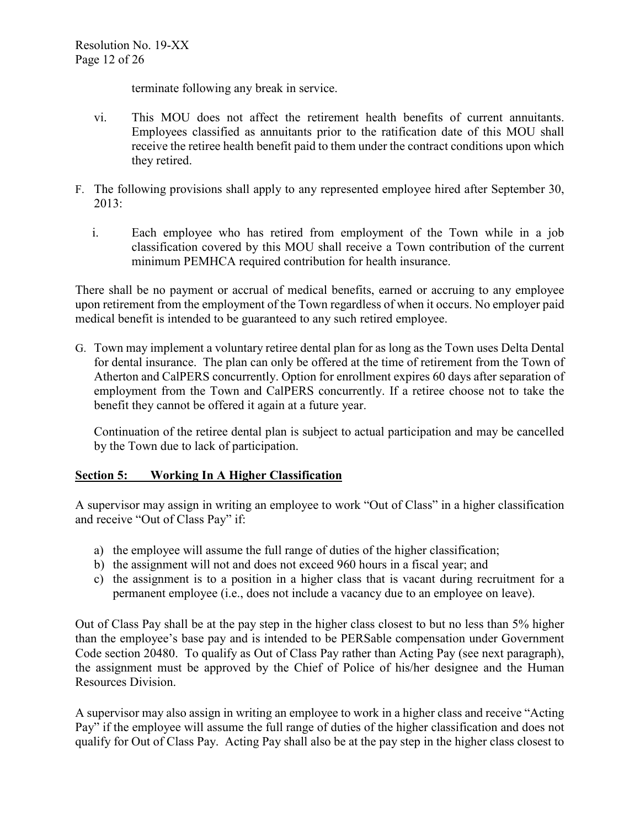terminate following any break in service.

- vi. This MOU does not affect the retirement health benefits of current annuitants. Employees classified as annuitants prior to the ratification date of this MOU shall receive the retiree health benefit paid to them under the contract conditions upon which they retired.
- F. The following provisions shall apply to any represented employee hired after September 30, 2013:
	- i. Each employee who has retired from employment of the Town while in a job classification covered by this MOU shall receive a Town contribution of the current minimum PEMHCA required contribution for health insurance.

There shall be no payment or accrual of medical benefits, earned or accruing to any employee upon retirement from the employment of the Town regardless of when it occurs. No employer paid medical benefit is intended to be guaranteed to any such retired employee.

G. Town may implement a voluntary retiree dental plan for as long as the Town uses Delta Dental for dental insurance. The plan can only be offered at the time of retirement from the Town of Atherton and CalPERS concurrently. Option for enrollment expires 60 days after separation of employment from the Town and CalPERS concurrently. If a retiree choose not to take the benefit they cannot be offered it again at a future year.

Continuation of the retiree dental plan is subject to actual participation and may be cancelled by the Town due to lack of participation.

# **Section 5: Working In A Higher Classification**

A supervisor may assign in writing an employee to work "Out of Class" in a higher classification and receive "Out of Class Pay" if:

- a) the employee will assume the full range of duties of the higher classification;
- b) the assignment will not and does not exceed 960 hours in a fiscal year; and
- c) the assignment is to a position in a higher class that is vacant during recruitment for a permanent employee (i.e., does not include a vacancy due to an employee on leave).

Out of Class Pay shall be at the pay step in the higher class closest to but no less than 5% higher than the employee's base pay and is intended to be PERSable compensation under Government Code section 20480. To qualify as Out of Class Pay rather than Acting Pay (see next paragraph), the assignment must be approved by the Chief of Police of his/her designee and the Human Resources Division.

A supervisor may also assign in writing an employee to work in a higher class and receive "Acting Pay" if the employee will assume the full range of duties of the higher classification and does not qualify for Out of Class Pay. Acting Pay shall also be at the pay step in the higher class closest to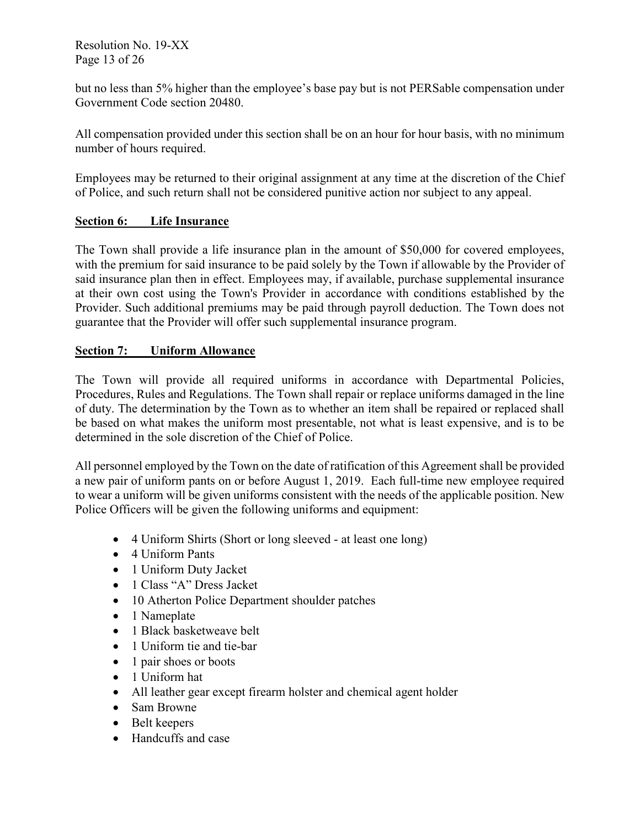Resolution No. 19-XX Page 13 of 26

but no less than 5% higher than the employee's base pay but is not PERSable compensation under Government Code section 20480.

All compensation provided under this section shall be on an hour for hour basis, with no minimum number of hours required.

Employees may be returned to their original assignment at any time at the discretion of the Chief of Police, and such return shall not be considered punitive action nor subject to any appeal.

# **Section 6: Life Insurance**

The Town shall provide a life insurance plan in the amount of \$50,000 for covered employees, with the premium for said insurance to be paid solely by the Town if allowable by the Provider of said insurance plan then in effect. Employees may, if available, purchase supplemental insurance at their own cost using the Town's Provider in accordance with conditions established by the Provider. Such additional premiums may be paid through payroll deduction. The Town does not guarantee that the Provider will offer such supplemental insurance program.

## **Section 7: Uniform Allowance**

The Town will provide all required uniforms in accordance with Departmental Policies, Procedures, Rules and Regulations. The Town shall repair or replace uniforms damaged in the line of duty. The determination by the Town as to whether an item shall be repaired or replaced shall be based on what makes the uniform most presentable, not what is least expensive, and is to be determined in the sole discretion of the Chief of Police.

All personnel employed by the Town on the date of ratification of this Agreement shall be provided a new pair of uniform pants on or before August 1, 2019. Each full-time new employee required to wear a uniform will be given uniforms consistent with the needs of the applicable position. New Police Officers will be given the following uniforms and equipment:

- 4 Uniform Shirts (Short or long sleeved at least one long)
- 4 Uniform Pants
- 1 Uniform Duty Jacket
- 1 Class "A" Dress Jacket
- 10 Atherton Police Department shoulder patches
- 1 Nameplate
- 1 Black basketweave belt
- 1 Uniform tie and tie-bar
- 1 pair shoes or boots
- 1 Uniform hat
- All leather gear except firearm holster and chemical agent holder
- Sam Browne
- Belt keepers
- Handcuffs and case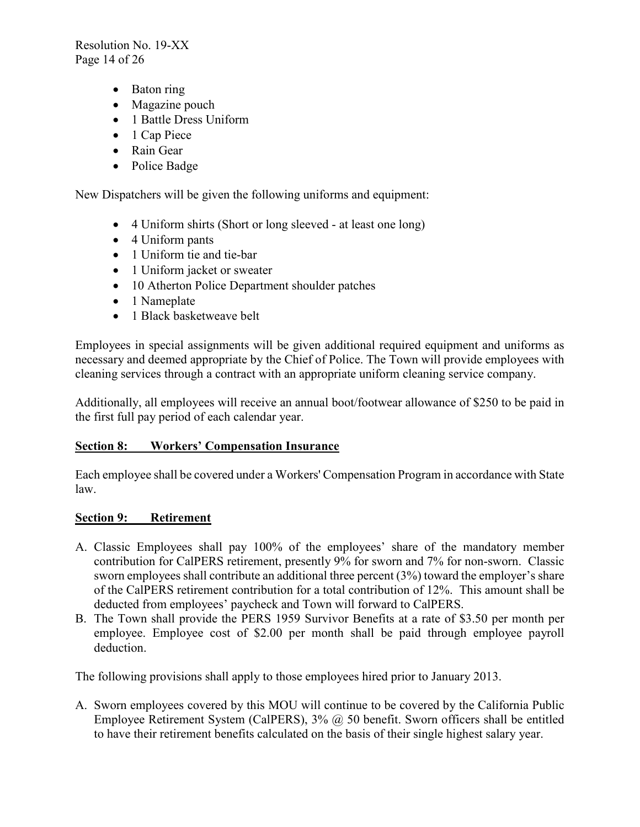Resolution No. 19-XX Page 14 of 26

- Baton ring
- Magazine pouch
- 1 Battle Dress Uniform
- 1 Cap Piece
- Rain Gear
- Police Badge

New Dispatchers will be given the following uniforms and equipment:

- 4 Uniform shirts (Short or long sleeved at least one long)
- 4 Uniform pants
- 1 Uniform tie and tie-bar
- 1 Uniform jacket or sweater
- 10 Atherton Police Department shoulder patches
- 1 Nameplate
- 1 Black basketweave belt

Employees in special assignments will be given additional required equipment and uniforms as necessary and deemed appropriate by the Chief of Police. The Town will provide employees with cleaning services through a contract with an appropriate uniform cleaning service company.

Additionally, all employees will receive an annual boot/footwear allowance of \$250 to be paid in the first full pay period of each calendar year.

# **Section 8: Workers' Compensation Insurance**

Each employee shall be covered under a Workers' Compensation Program in accordance with State law.

#### **Section 9: Retirement**

- A. Classic Employees shall pay 100% of the employees' share of the mandatory member contribution for CalPERS retirement, presently 9% for sworn and 7% for non-sworn. Classic sworn employees shall contribute an additional three percent (3%) toward the employer's share of the CalPERS retirement contribution for a total contribution of 12%. This amount shall be deducted from employees' paycheck and Town will forward to CalPERS.
- B. The Town shall provide the PERS 1959 Survivor Benefits at a rate of \$3.50 per month per employee. Employee cost of \$2.00 per month shall be paid through employee payroll deduction.

The following provisions shall apply to those employees hired prior to January 2013.

A. Sworn employees covered by this MOU will continue to be covered by the California Public Employee Retirement System (CalPERS), 3% @ 50 benefit. Sworn officers shall be entitled to have their retirement benefits calculated on the basis of their single highest salary year.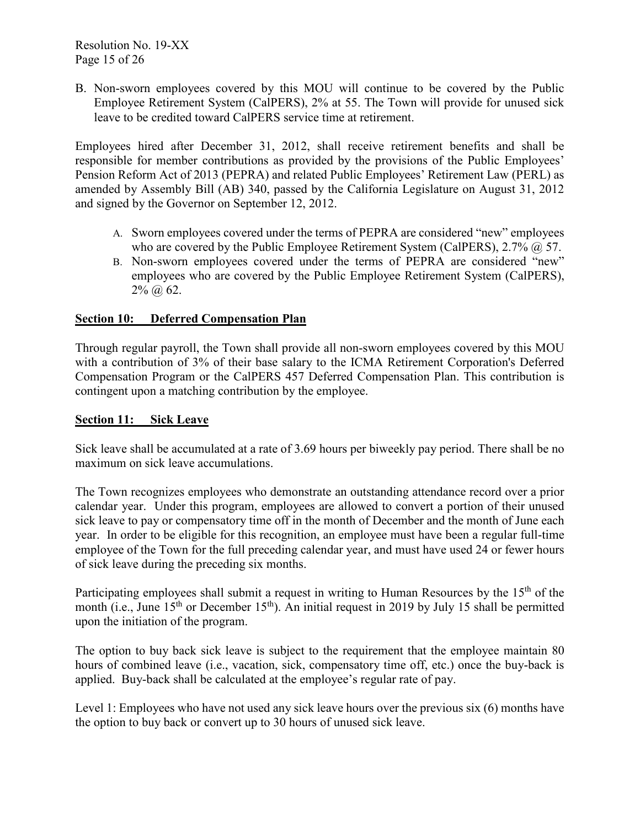B. Non-sworn employees covered by this MOU will continue to be covered by the Public Employee Retirement System (CalPERS), 2% at 55. The Town will provide for unused sick leave to be credited toward CalPERS service time at retirement.

Employees hired after December 31, 2012, shall receive retirement benefits and shall be responsible for member contributions as provided by the provisions of the Public Employees' Pension Reform Act of 2013 (PEPRA) and related Public Employees' Retirement Law (PERL) as amended by Assembly Bill (AB) 340, passed by the California Legislature on August 31, 2012 and signed by the Governor on September 12, 2012.

- A. Sworn employees covered under the terms of PEPRA are considered "new" employees who are covered by the Public Employee Retirement System (CalPERS), 2.7% @ 57.
- B. Non-sworn employees covered under the terms of PEPRA are considered "new" employees who are covered by the Public Employee Retirement System (CalPERS),  $2\%$  (*a*) 62.

# **Section 10: Deferred Compensation Plan**

Through regular payroll, the Town shall provide all non-sworn employees covered by this MOU with a contribution of 3% of their base salary to the ICMA Retirement Corporation's Deferred Compensation Program or the CalPERS 457 Deferred Compensation Plan. This contribution is contingent upon a matching contribution by the employee.

# **Section 11: Sick Leave**

Sick leave shall be accumulated at a rate of 3.69 hours per biweekly pay period. There shall be no maximum on sick leave accumulations.

The Town recognizes employees who demonstrate an outstanding attendance record over a prior calendar year. Under this program, employees are allowed to convert a portion of their unused sick leave to pay or compensatory time off in the month of December and the month of June each year. In order to be eligible for this recognition, an employee must have been a regular full-time employee of the Town for the full preceding calendar year, and must have used 24 or fewer hours of sick leave during the preceding six months.

Participating employees shall submit a request in writing to Human Resources by the 15<sup>th</sup> of the month (i.e., June 15<sup>th</sup> or December 15<sup>th</sup>). An initial request in 2019 by July 15 shall be permitted upon the initiation of the program.

The option to buy back sick leave is subject to the requirement that the employee maintain 80 hours of combined leave (i.e., vacation, sick, compensatory time off, etc.) once the buy-back is applied. Buy-back shall be calculated at the employee's regular rate of pay.

Level 1: Employees who have not used any sick leave hours over the previous six (6) months have the option to buy back or convert up to 30 hours of unused sick leave.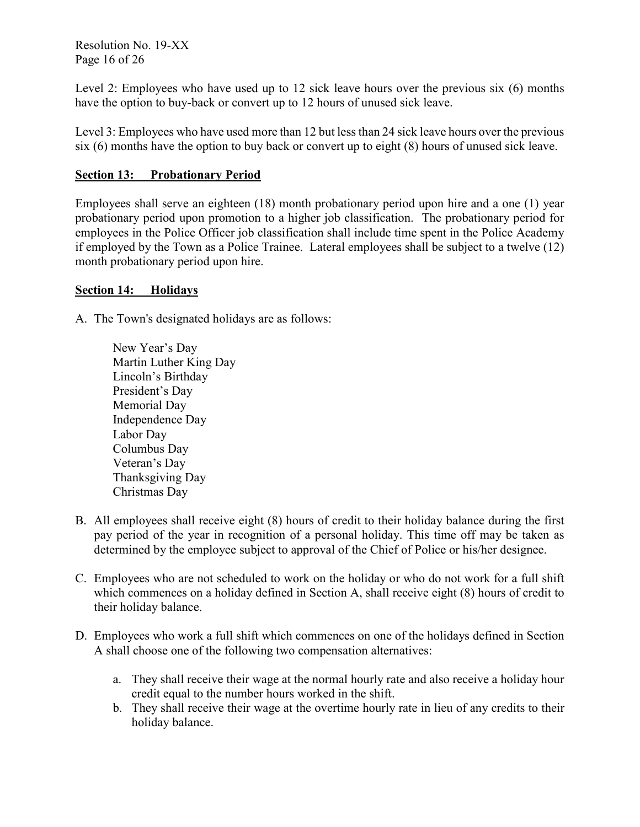Resolution No. 19-XX Page 16 of 26

Level 2: Employees who have used up to 12 sick leave hours over the previous six (6) months have the option to buy-back or convert up to 12 hours of unused sick leave.

Level 3: Employees who have used more than 12 but less than 24 sick leave hours over the previous six (6) months have the option to buy back or convert up to eight (8) hours of unused sick leave.

# **Section 13: Probationary Period**

Employees shall serve an eighteen (18) month probationary period upon hire and a one (1) year probationary period upon promotion to a higher job classification. The probationary period for employees in the Police Officer job classification shall include time spent in the Police Academy if employed by the Town as a Police Trainee. Lateral employees shall be subject to a twelve (12) month probationary period upon hire.

## **Section 14: Holidays**

A. The Town's designated holidays are as follows:

New Year's Day Martin Luther King Day Lincoln's Birthday President's Day Memorial Day Independence Day Labor Day Columbus Day Veteran's Day Thanksgiving Day Christmas Day

- B. All employees shall receive eight (8) hours of credit to their holiday balance during the first pay period of the year in recognition of a personal holiday. This time off may be taken as determined by the employee subject to approval of the Chief of Police or his/her designee.
- C. Employees who are not scheduled to work on the holiday or who do not work for a full shift which commences on a holiday defined in Section A, shall receive eight (8) hours of credit to their holiday balance.
- D. Employees who work a full shift which commences on one of the holidays defined in Section A shall choose one of the following two compensation alternatives:
	- a. They shall receive their wage at the normal hourly rate and also receive a holiday hour credit equal to the number hours worked in the shift.
	- b. They shall receive their wage at the overtime hourly rate in lieu of any credits to their holiday balance.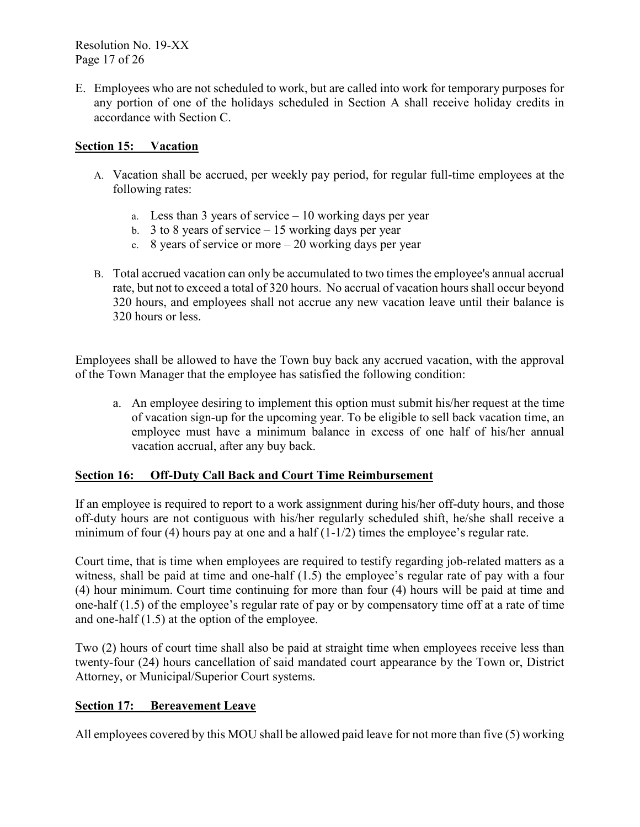Resolution No. 19-XX Page 17 of 26

E. Employees who are not scheduled to work, but are called into work for temporary purposes for any portion of one of the holidays scheduled in Section A shall receive holiday credits in accordance with Section C.

# **Section 15: Vacation**

- A. Vacation shall be accrued, per weekly pay period, for regular full-time employees at the following rates:
	- a. Less than 3 years of service 10 working days per year
	- b. 3 to 8 years of service  $-15$  working days per year
	- c. 8 years of service or more  $-20$  working days per year
- B. Total accrued vacation can only be accumulated to two times the employee's annual accrual rate, but not to exceed a total of 320 hours. No accrual of vacation hours shall occur beyond 320 hours, and employees shall not accrue any new vacation leave until their balance is 320 hours or less.

Employees shall be allowed to have the Town buy back any accrued vacation, with the approval of the Town Manager that the employee has satisfied the following condition:

a. An employee desiring to implement this option must submit his/her request at the time of vacation sign-up for the upcoming year. To be eligible to sell back vacation time, an employee must have a minimum balance in excess of one half of his/her annual vacation accrual, after any buy back.

#### **Section 16: Off-Duty Call Back and Court Time Reimbursement**

If an employee is required to report to a work assignment during his/her off-duty hours, and those off-duty hours are not contiguous with his/her regularly scheduled shift, he/she shall receive a minimum of four (4) hours pay at one and a half  $(1-1/2)$  times the employee's regular rate.

Court time, that is time when employees are required to testify regarding job-related matters as a witness, shall be paid at time and one-half (1.5) the employee's regular rate of pay with a four (4) hour minimum. Court time continuing for more than four (4) hours will be paid at time and one-half (1.5) of the employee's regular rate of pay or by compensatory time off at a rate of time and one-half (1.5) at the option of the employee.

Two (2) hours of court time shall also be paid at straight time when employees receive less than twenty-four (24) hours cancellation of said mandated court appearance by the Town or, District Attorney, or Municipal/Superior Court systems.

# **Section 17: Bereavement Leave**

All employees covered by this MOU shall be allowed paid leave for not more than five (5) working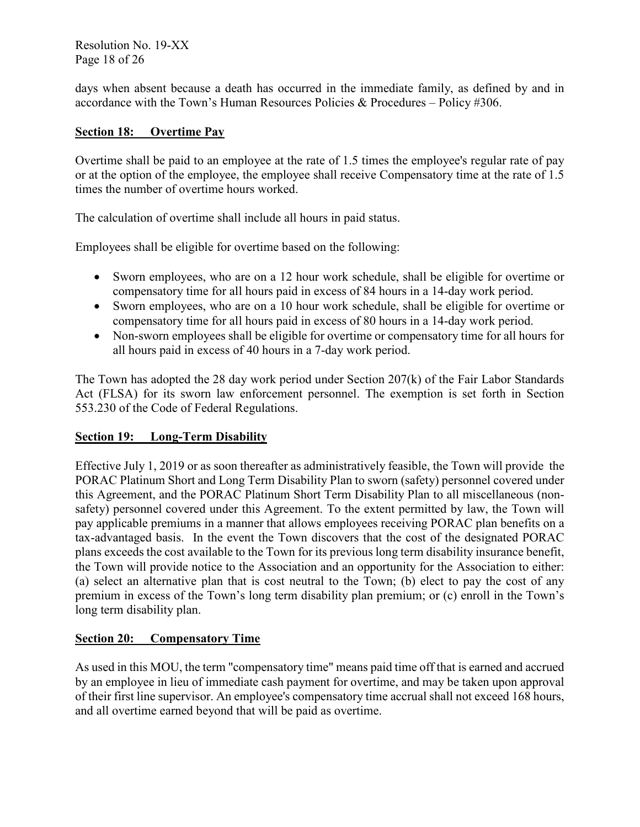Resolution No. 19-XX Page 18 of 26

days when absent because a death has occurred in the immediate family, as defined by and in accordance with the Town's Human Resources Policies & Procedures – Policy #306.

# **Section 18: Overtime Pay**

Overtime shall be paid to an employee at the rate of 1.5 times the employee's regular rate of pay or at the option of the employee, the employee shall receive Compensatory time at the rate of 1.5 times the number of overtime hours worked.

The calculation of overtime shall include all hours in paid status.

Employees shall be eligible for overtime based on the following:

- Sworn employees, who are on a 12 hour work schedule, shall be eligible for overtime or compensatory time for all hours paid in excess of 84 hours in a 14-day work period.
- Sworn employees, who are on a 10 hour work schedule, shall be eligible for overtime or compensatory time for all hours paid in excess of 80 hours in a 14-day work period.
- Non-sworn employees shall be eligible for overtime or compensatory time for all hours for all hours paid in excess of 40 hours in a 7-day work period.

The Town has adopted the 28 day work period under Section 207(k) of the Fair Labor Standards Act (FLSA) for its sworn law enforcement personnel. The exemption is set forth in Section 553.230 of the Code of Federal Regulations.

#### **Section 19: Long-Term Disability**

Effective July 1, 2019 or as soon thereafter as administratively feasible, the Town will provide the PORAC Platinum Short and Long Term Disability Plan to sworn (safety) personnel covered under this Agreement, and the PORAC Platinum Short Term Disability Plan to all miscellaneous (nonsafety) personnel covered under this Agreement. To the extent permitted by law, the Town will pay applicable premiums in a manner that allows employees receiving PORAC plan benefits on a tax-advantaged basis. In the event the Town discovers that the cost of the designated PORAC plans exceeds the cost available to the Town for its previous long term disability insurance benefit, the Town will provide notice to the Association and an opportunity for the Association to either: (a) select an alternative plan that is cost neutral to the Town; (b) elect to pay the cost of any premium in excess of the Town's long term disability plan premium; or (c) enroll in the Town's long term disability plan.

#### **Section 20: Compensatory Time**

As used in this MOU, the term "compensatory time" means paid time off that is earned and accrued by an employee in lieu of immediate cash payment for overtime, and may be taken upon approval of their first line supervisor. An employee's compensatory time accrual shall not exceed 168 hours, and all overtime earned beyond that will be paid as overtime.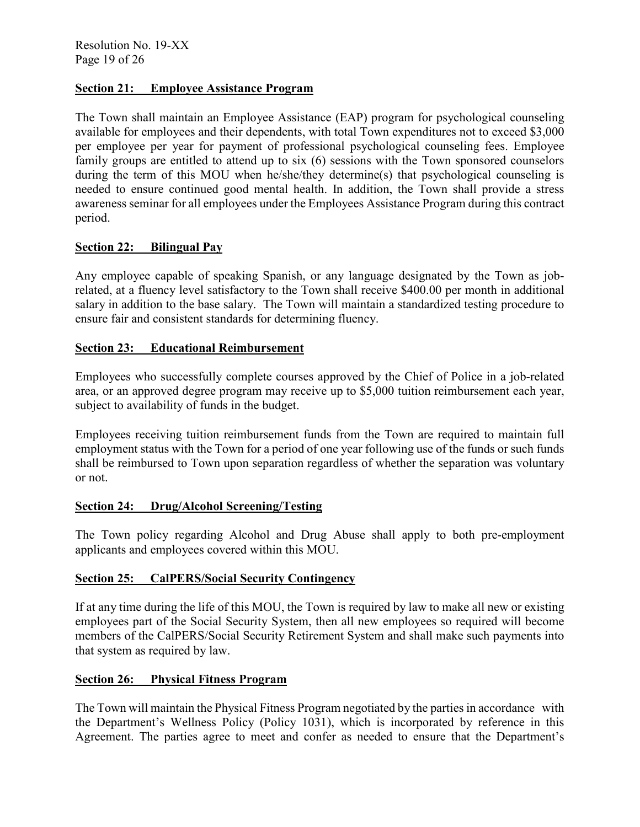# **Section 21: Employee Assistance Program**

The Town shall maintain an Employee Assistance (EAP) program for psychological counseling available for employees and their dependents, with total Town expenditures not to exceed \$3,000 per employee per year for payment of professional psychological counseling fees. Employee family groups are entitled to attend up to six (6) sessions with the Town sponsored counselors during the term of this MOU when he/she/they determine(s) that psychological counseling is needed to ensure continued good mental health. In addition, the Town shall provide a stress awareness seminar for all employees under the Employees Assistance Program during this contract period.

#### **Section 22: Bilingual Pay**

Any employee capable of speaking Spanish, or any language designated by the Town as jobrelated, at a fluency level satisfactory to the Town shall receive \$400.00 per month in additional salary in addition to the base salary. The Town will maintain a standardized testing procedure to ensure fair and consistent standards for determining fluency.

## **Section 23: Educational Reimbursement**

Employees who successfully complete courses approved by the Chief of Police in a job-related area, or an approved degree program may receive up to \$5,000 tuition reimbursement each year, subject to availability of funds in the budget.

Employees receiving tuition reimbursement funds from the Town are required to maintain full employment status with the Town for a period of one year following use of the funds or such funds shall be reimbursed to Town upon separation regardless of whether the separation was voluntary or not.

#### **Section 24: Drug/Alcohol Screening/Testing**

The Town policy regarding Alcohol and Drug Abuse shall apply to both pre-employment applicants and employees covered within this MOU.

#### **Section 25: CalPERS/Social Security Contingency**

If at any time during the life of this MOU, the Town is required by law to make all new or existing employees part of the Social Security System, then all new employees so required will become members of the CalPERS/Social Security Retirement System and shall make such payments into that system as required by law.

#### **Section 26: Physical Fitness Program**

The Town will maintain the Physical Fitness Program negotiated by the parties in accordance with the Department's Wellness Policy (Policy 1031), which is incorporated by reference in this Agreement. The parties agree to meet and confer as needed to ensure that the Department's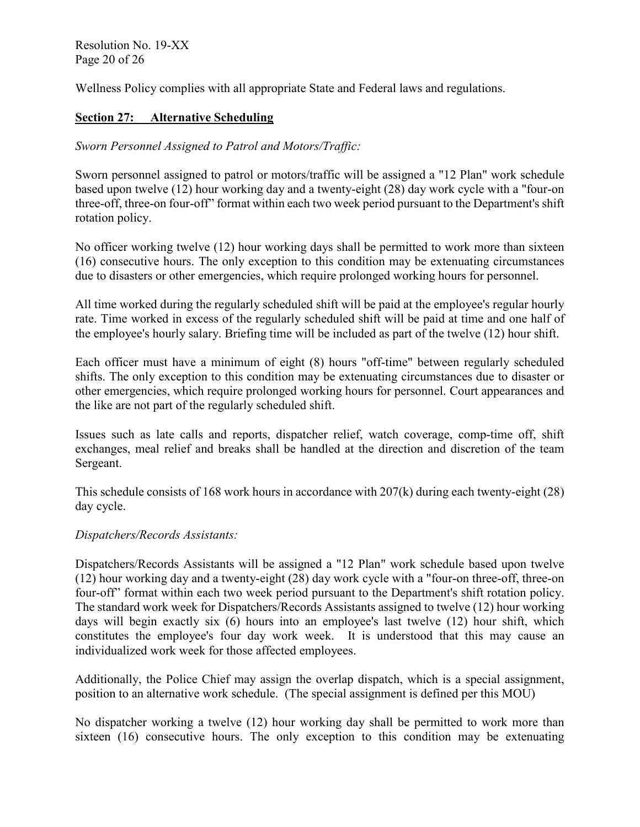Resolution No. 19-XX Page 20 of 26

Wellness Policy complies with all appropriate State and Federal laws and regulations.

# **Section 27: Alternative Scheduling**

# *Sworn Personnel Assigned to Patrol and Motors/Traffic:*

Sworn personnel assigned to patrol or motors/traffic will be assigned a "12 Plan" work schedule based upon twelve (12) hour working day and a twenty-eight (28) day work cycle with a "four-on three-off, three-on four-off" format within each two week period pursuant to the Department's shift rotation policy.

No officer working twelve (12) hour working days shall be permitted to work more than sixteen (16) consecutive hours. The only exception to this condition may be extenuating circumstances due to disasters or other emergencies, which require prolonged working hours for personnel.

All time worked during the regularly scheduled shift will be paid at the employee's regular hourly rate. Time worked in excess of the regularly scheduled shift will be paid at time and one half of the employee's hourly salary. Briefing time will be included as part of the twelve (12) hour shift.

Each officer must have a minimum of eight (8) hours "off-time" between regularly scheduled shifts. The only exception to this condition may be extenuating circumstances due to disaster or other emergencies, which require prolonged working hours for personnel. Court appearances and the like are not part of the regularly scheduled shift.

Issues such as late calls and reports, dispatcher relief, watch coverage, comp-time off, shift exchanges, meal relief and breaks shall be handled at the direction and discretion of the team Sergeant.

This schedule consists of 168 work hours in accordance with 207(k) during each twenty-eight (28) day cycle.

# *Dispatchers/Records Assistants:*

Dispatchers/Records Assistants will be assigned a "12 Plan" work schedule based upon twelve (12) hour working day and a twenty-eight (28) day work cycle with a "four-on three-off, three-on four-off" format within each two week period pursuant to the Department's shift rotation policy. The standard work week for Dispatchers/Records Assistants assigned to twelve (12) hour working days will begin exactly six (6) hours into an employee's last twelve (12) hour shift, which constitutes the employee's four day work week. It is understood that this may cause an individualized work week for those affected employees.

Additionally, the Police Chief may assign the overlap dispatch, which is a special assignment, position to an alternative work schedule. (The special assignment is defined per this MOU)

No dispatcher working a twelve (12) hour working day shall be permitted to work more than sixteen (16) consecutive hours. The only exception to this condition may be extenuating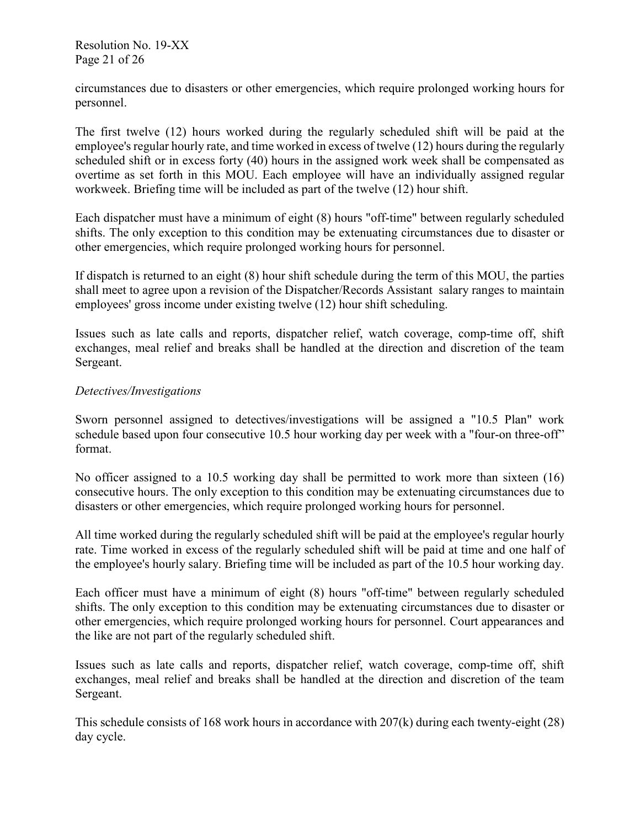Resolution No. 19-XX Page 21 of 26

circumstances due to disasters or other emergencies, which require prolonged working hours for personnel.

The first twelve (12) hours worked during the regularly scheduled shift will be paid at the employee's regular hourly rate, and time worked in excess of twelve (12) hours during the regularly scheduled shift or in excess forty (40) hours in the assigned work week shall be compensated as overtime as set forth in this MOU. Each employee will have an individually assigned regular workweek. Briefing time will be included as part of the twelve (12) hour shift.

Each dispatcher must have a minimum of eight (8) hours "off-time" between regularly scheduled shifts. The only exception to this condition may be extenuating circumstances due to disaster or other emergencies, which require prolonged working hours for personnel.

If dispatch is returned to an eight (8) hour shift schedule during the term of this MOU, the parties shall meet to agree upon a revision of the Dispatcher/Records Assistant salary ranges to maintain employees' gross income under existing twelve (12) hour shift scheduling.

Issues such as late calls and reports, dispatcher relief, watch coverage, comp-time off, shift exchanges, meal relief and breaks shall be handled at the direction and discretion of the team Sergeant.

#### *Detectives/Investigations*

Sworn personnel assigned to detectives/investigations will be assigned a "10.5 Plan" work schedule based upon four consecutive 10.5 hour working day per week with a "four-on three-off" format.

No officer assigned to a 10.5 working day shall be permitted to work more than sixteen (16) consecutive hours. The only exception to this condition may be extenuating circumstances due to disasters or other emergencies, which require prolonged working hours for personnel.

All time worked during the regularly scheduled shift will be paid at the employee's regular hourly rate. Time worked in excess of the regularly scheduled shift will be paid at time and one half of the employee's hourly salary. Briefing time will be included as part of the 10.5 hour working day.

Each officer must have a minimum of eight (8) hours "off-time" between regularly scheduled shifts. The only exception to this condition may be extenuating circumstances due to disaster or other emergencies, which require prolonged working hours for personnel. Court appearances and the like are not part of the regularly scheduled shift.

Issues such as late calls and reports, dispatcher relief, watch coverage, comp-time off, shift exchanges, meal relief and breaks shall be handled at the direction and discretion of the team Sergeant.

This schedule consists of 168 work hours in accordance with 207(k) during each twenty-eight (28) day cycle.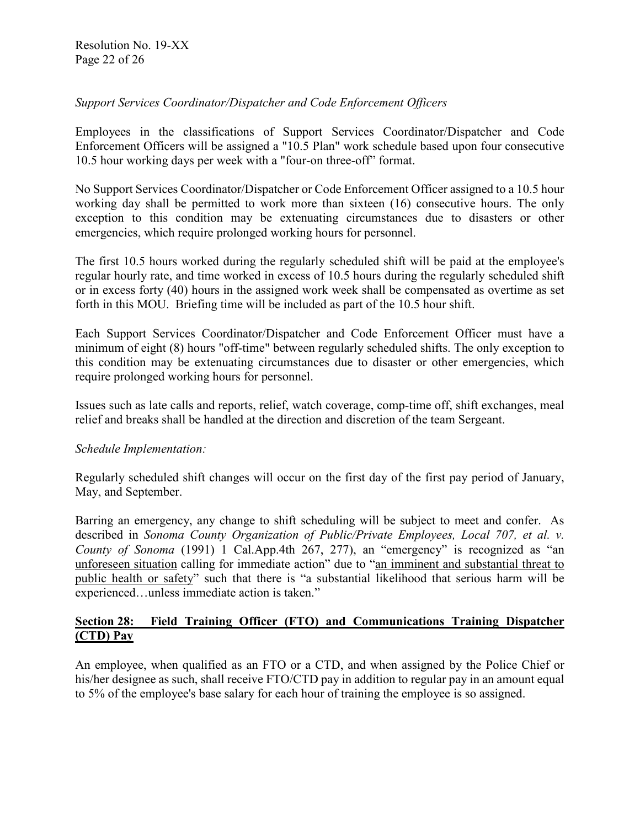# *Support Services Coordinator/Dispatcher and Code Enforcement Officers*

Employees in the classifications of Support Services Coordinator/Dispatcher and Code Enforcement Officers will be assigned a "10.5 Plan" work schedule based upon four consecutive 10.5 hour working days per week with a "four-on three-off" format.

No Support Services Coordinator/Dispatcher or Code Enforcement Officer assigned to a 10.5 hour working day shall be permitted to work more than sixteen (16) consecutive hours. The only exception to this condition may be extenuating circumstances due to disasters or other emergencies, which require prolonged working hours for personnel.

The first 10.5 hours worked during the regularly scheduled shift will be paid at the employee's regular hourly rate, and time worked in excess of 10.5 hours during the regularly scheduled shift or in excess forty (40) hours in the assigned work week shall be compensated as overtime as set forth in this MOU. Briefing time will be included as part of the 10.5 hour shift.

Each Support Services Coordinator/Dispatcher and Code Enforcement Officer must have a minimum of eight (8) hours "off-time" between regularly scheduled shifts. The only exception to this condition may be extenuating circumstances due to disaster or other emergencies, which require prolonged working hours for personnel.

Issues such as late calls and reports, relief, watch coverage, comp-time off, shift exchanges, meal relief and breaks shall be handled at the direction and discretion of the team Sergeant.

#### *Schedule Implementation:*

Regularly scheduled shift changes will occur on the first day of the first pay period of January, May, and September.

Barring an emergency, any change to shift scheduling will be subject to meet and confer. As described in *Sonoma County Organization of Public/Private Employees, Local 707, et al. v. County of Sonoma* (1991) 1 Cal.App.4th 267, 277), an "emergency" is recognized as "an unforeseen situation calling for immediate action" due to "an imminent and substantial threat to public health or safety" such that there is "a substantial likelihood that serious harm will be experienced…unless immediate action is taken."

## **Section 28: Field Training Officer (FTO) and Communications Training Dispatcher (CTD) Pay**

An employee, when qualified as an FTO or a CTD, and when assigned by the Police Chief or his/her designee as such, shall receive FTO/CTD pay in addition to regular pay in an amount equal to 5% of the employee's base salary for each hour of training the employee is so assigned.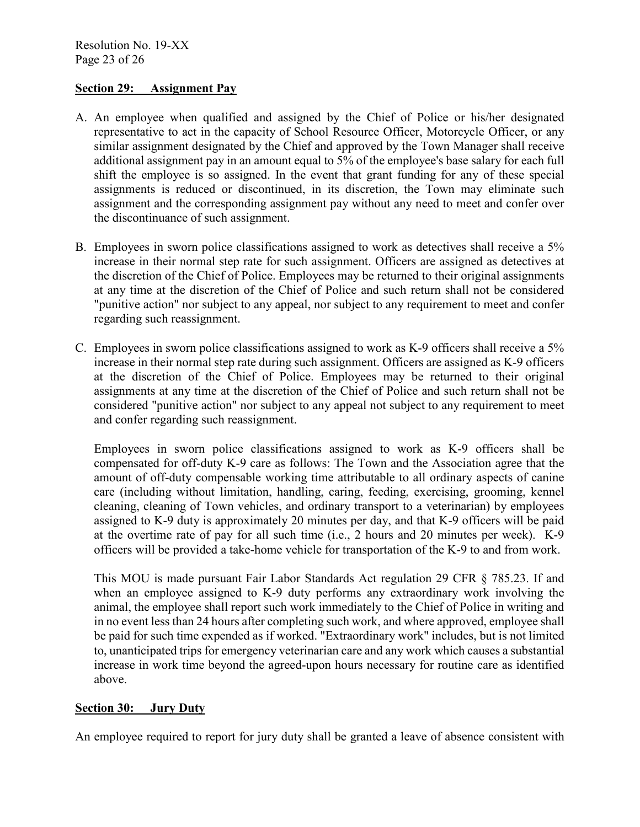## **Section 29: Assignment Pay**

- A. An employee when qualified and assigned by the Chief of Police or his/her designated representative to act in the capacity of School Resource Officer, Motorcycle Officer, or any similar assignment designated by the Chief and approved by the Town Manager shall receive additional assignment pay in an amount equal to 5% of the employee's base salary for each full shift the employee is so assigned. In the event that grant funding for any of these special assignments is reduced or discontinued, in its discretion, the Town may eliminate such assignment and the corresponding assignment pay without any need to meet and confer over the discontinuance of such assignment.
- B. Employees in sworn police classifications assigned to work as detectives shall receive a 5% increase in their normal step rate for such assignment. Officers are assigned as detectives at the discretion of the Chief of Police. Employees may be returned to their original assignments at any time at the discretion of the Chief of Police and such return shall not be considered "punitive action" nor subject to any appeal, nor subject to any requirement to meet and confer regarding such reassignment.
- C. Employees in sworn police classifications assigned to work as K-9 officers shall receive a 5% increase in their normal step rate during such assignment. Officers are assigned as K-9 officers at the discretion of the Chief of Police. Employees may be returned to their original assignments at any time at the discretion of the Chief of Police and such return shall not be considered "punitive action" nor subject to any appeal not subject to any requirement to meet and confer regarding such reassignment.

Employees in sworn police classifications assigned to work as K-9 officers shall be compensated for off-duty K-9 care as follows: The Town and the Association agree that the amount of off-duty compensable working time attributable to all ordinary aspects of canine care (including without limitation, handling, caring, feeding, exercising, grooming, kennel cleaning, cleaning of Town vehicles, and ordinary transport to a veterinarian) by employees assigned to K-9 duty is approximately 20 minutes per day, and that K-9 officers will be paid at the overtime rate of pay for all such time (i.e., 2 hours and 20 minutes per week). K-9 officers will be provided a take-home vehicle for transportation of the K-9 to and from work.

This MOU is made pursuant Fair Labor Standards Act regulation 29 CFR § 785.23. If and when an employee assigned to K-9 duty performs any extraordinary work involving the animal, the employee shall report such work immediately to the Chief of Police in writing and in no event less than 24 hours after completing such work, and where approved, employee shall be paid for such time expended as if worked. "Extraordinary work" includes, but is not limited to, unanticipated trips for emergency veterinarian care and any work which causes a substantial increase in work time beyond the agreed-upon hours necessary for routine care as identified above.

#### **Section 30: Jury Duty**

An employee required to report for jury duty shall be granted a leave of absence consistent with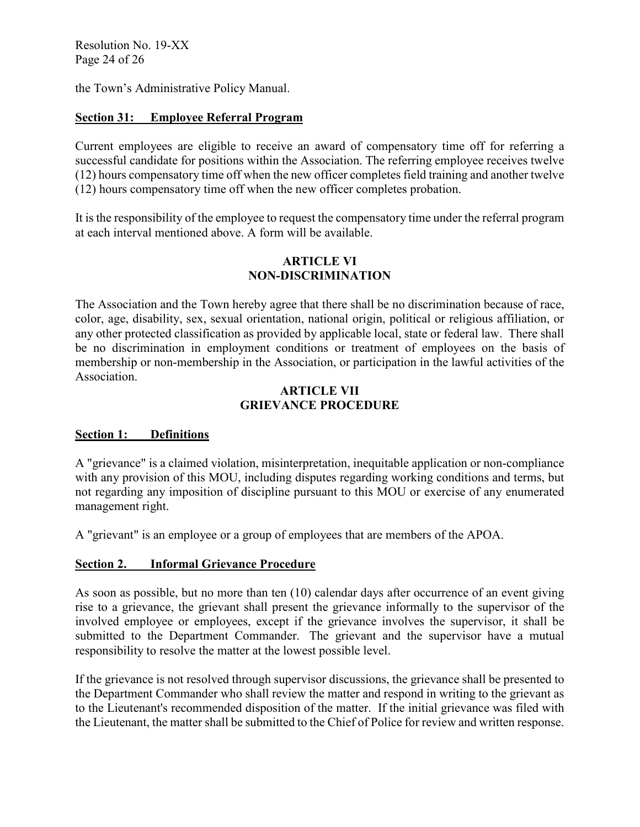Resolution No. 19-XX Page 24 of 26

the Town's Administrative Policy Manual.

# **Section 31: Employee Referral Program**

Current employees are eligible to receive an award of compensatory time off for referring a successful candidate for positions within the Association. The referring employee receives twelve (12) hours compensatory time off when the new officer completes field training and another twelve (12) hours compensatory time off when the new officer completes probation.

It is the responsibility of the employee to request the compensatory time under the referral program at each interval mentioned above. A form will be available.

## **ARTICLE VI NON-DISCRIMINATION**

The Association and the Town hereby agree that there shall be no discrimination because of race, color, age, disability, sex, sexual orientation, national origin, political or religious affiliation, or any other protected classification as provided by applicable local, state or federal law. There shall be no discrimination in employment conditions or treatment of employees on the basis of membership or non-membership in the Association, or participation in the lawful activities of the Association.

## **ARTICLE VII GRIEVANCE PROCEDURE**

# **Section 1: Definitions**

A "grievance" is a claimed violation, misinterpretation, inequitable application or non-compliance with any provision of this MOU, including disputes regarding working conditions and terms, but not regarding any imposition of discipline pursuant to this MOU or exercise of any enumerated management right.

A "grievant" is an employee or a group of employees that are members of the APOA.

# **Section 2. Informal Grievance Procedure**

As soon as possible, but no more than ten (10) calendar days after occurrence of an event giving rise to a grievance, the grievant shall present the grievance informally to the supervisor of the involved employee or employees, except if the grievance involves the supervisor, it shall be submitted to the Department Commander. The grievant and the supervisor have a mutual responsibility to resolve the matter at the lowest possible level.

If the grievance is not resolved through supervisor discussions, the grievance shall be presented to the Department Commander who shall review the matter and respond in writing to the grievant as to the Lieutenant's recommended disposition of the matter. If the initial grievance was filed with the Lieutenant, the matter shall be submitted to the Chief of Police for review and written response.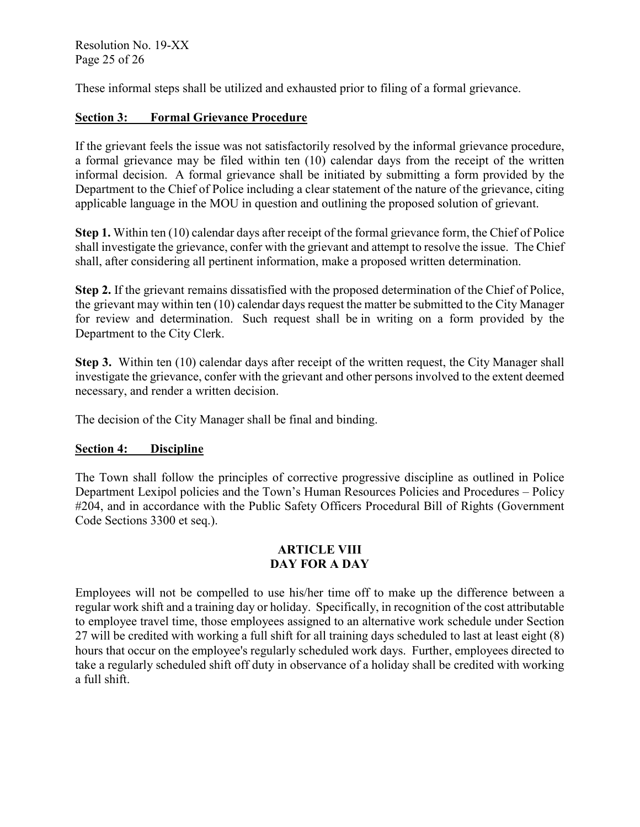Resolution No. 19-XX Page 25 of 26

These informal steps shall be utilized and exhausted prior to filing of a formal grievance.

# **Section 3: Formal Grievance Procedure**

If the grievant feels the issue was not satisfactorily resolved by the informal grievance procedure, a formal grievance may be filed within ten (10) calendar days from the receipt of the written informal decision. A formal grievance shall be initiated by submitting a form provided by the Department to the Chief of Police including a clear statement of the nature of the grievance, citing applicable language in the MOU in question and outlining the proposed solution of grievant.

**Step 1.** Within ten (10) calendar days after receipt of the formal grievance form, the Chief of Police shall investigate the grievance, confer with the grievant and attempt to resolve the issue. The Chief shall, after considering all pertinent information, make a proposed written determination.

**Step 2.** If the grievant remains dissatisfied with the proposed determination of the Chief of Police, the grievant may within ten (10) calendar days request the matter be submitted to the City Manager for review and determination. Such request shall be in writing on a form provided by the Department to the City Clerk.

**Step 3.** Within ten (10) calendar days after receipt of the written request, the City Manager shall investigate the grievance, confer with the grievant and other persons involved to the extent deemed necessary, and render a written decision.

The decision of the City Manager shall be final and binding.

# **Section 4: Discipline**

The Town shall follow the principles of corrective progressive discipline as outlined in Police Department Lexipol policies and the Town's Human Resources Policies and Procedures – Policy #204, and in accordance with the Public Safety Officers Procedural Bill of Rights (Government) Code Sections 3300 et seq.).

## **ARTICLE VIII DAY FOR A DAY**

Employees will not be compelled to use his/her time off to make up the difference between a regular work shift and a training day or holiday. Specifically, in recognition of the cost attributable to employee travel time, those employees assigned to an alternative work schedule under Section 27 will be credited with working a full shift for all training days scheduled to last at least eight (8) hours that occur on the employee's regularly scheduled work days. Further, employees directed to take a regularly scheduled shift off duty in observance of a holiday shall be credited with working a full shift.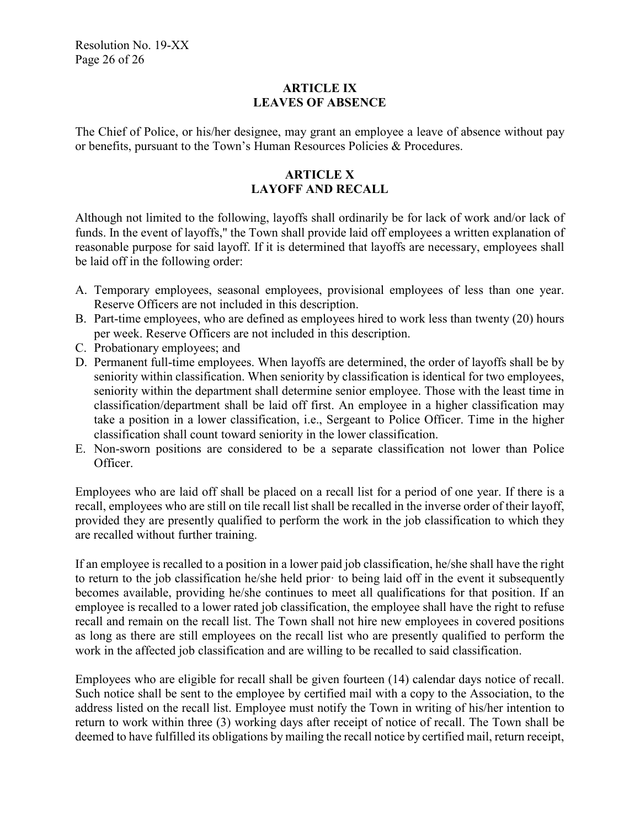# **ARTICLE IX LEAVES OF ABSENCE**

The Chief of Police, or his/her designee, may grant an employee a leave of absence without pay or benefits, pursuant to the Town's Human Resources Policies & Procedures.

# **ARTICLE X LAYOFF AND RECALL**

Although not limited to the following, layoffs shall ordinarily be for lack of work and/or lack of funds. In the event of layoffs," the Town shall provide laid off employees a written explanation of reasonable purpose for said layoff. If it is determined that layoffs are necessary, employees shall be laid off in the following order:

- A. Temporary employees, seasonal employees, provisional employees of less than one year. Reserve Officers are not included in this description.
- B. Part-time employees, who are defined as employees hired to work less than twenty (20) hours per week. Reserve Officers are not included in this description.
- C. Probationary employees; and
- D. Permanent full-time employees. When layoffs are determined, the order of layoffs shall be by seniority within classification. When seniority by classification is identical for two employees, seniority within the department shall determine senior employee. Those with the least time in classification/department shall be laid off first. An employee in a higher classification may take a position in a lower classification, i.e., Sergeant to Police Officer. Time in the higher classification shall count toward seniority in the lower classification.
- E. Non-sworn positions are considered to be a separate classification not lower than Police Officer.

Employees who are laid off shall be placed on a recall list for a period of one year. If there is a recall, employees who are still on tile recall list shall be recalled in the inverse order of their layoff, provided they are presently qualified to perform the work in the job classification to which they are recalled without further training.

If an employee is recalled to a position in a lower paid job classification, he/she shall have the right to return to the job classification he/she held prior· to being laid off in the event it subsequently becomes available, providing he/she continues to meet all qualifications for that position. If an employee is recalled to a lower rated job classification, the employee shall have the right to refuse recall and remain on the recall list. The Town shall not hire new employees in covered positions as long as there are still employees on the recall list who are presently qualified to perform the work in the affected job classification and are willing to be recalled to said classification.

Employees who are eligible for recall shall be given fourteen (14) calendar days notice of recall. Such notice shall be sent to the employee by certified mail with a copy to the Association, to the address listed on the recall list. Employee must notify the Town in writing of his/her intention to return to work within three (3) working days after receipt of notice of recall. The Town shall be deemed to have fulfilled its obligations by mailing the recall notice by certified mail, return receipt,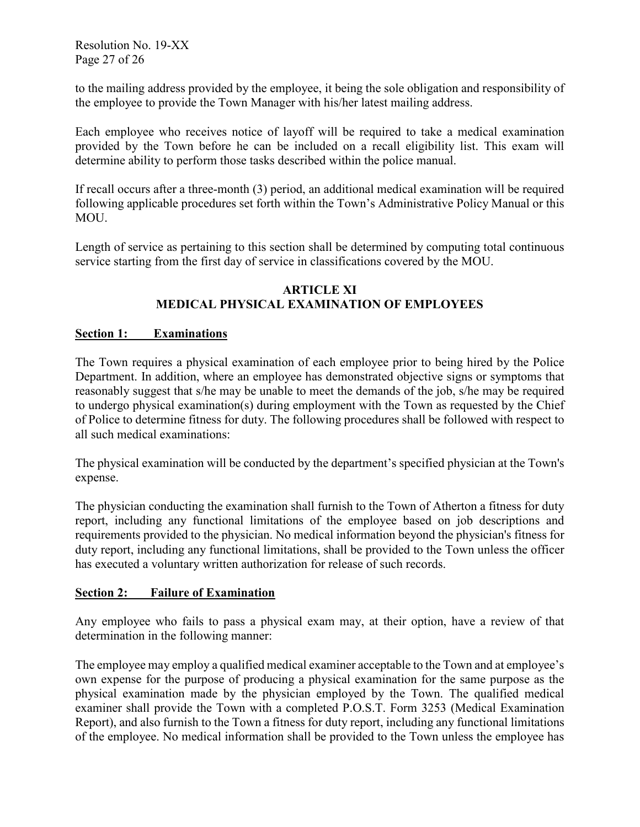Resolution No. 19-XX Page 27 of 26

to the mailing address provided by the employee, it being the sole obligation and responsibility of the employee to provide the Town Manager with his/her latest mailing address.

Each employee who receives notice of layoff will be required to take a medical examination provided by the Town before he can be included on a recall eligibility list. This exam will determine ability to perform those tasks described within the police manual.

If recall occurs after a three-month (3) period, an additional medical examination will be required following applicable procedures set forth within the Town's Administrative Policy Manual or this MOU.

Length of service as pertaining to this section shall be determined by computing total continuous service starting from the first day of service in classifications covered by the MOU.

## **ARTICLE XI MEDICAL PHYSICAL EXAMINATION OF EMPLOYEES**

## **Section 1: Examinations**

The Town requires a physical examination of each employee prior to being hired by the Police Department. In addition, where an employee has demonstrated objective signs or symptoms that reasonably suggest that s/he may be unable to meet the demands of the job, s/he may be required to undergo physical examination(s) during employment with the Town as requested by the Chief of Police to determine fitness for duty. The following procedures shall be followed with respect to all such medical examinations:

The physical examination will be conducted by the department's specified physician at the Town's expense.

The physician conducting the examination shall furnish to the Town of Atherton a fitness for duty report, including any functional limitations of the employee based on job descriptions and requirements provided to the physician. No medical information beyond the physician's fitness for duty report, including any functional limitations, shall be provided to the Town unless the officer has executed a voluntary written authorization for release of such records.

## **Section 2: Failure of Examination**

Any employee who fails to pass a physical exam may, at their option, have a review of that determination in the following manner:

The employee may employ a qualified medical examiner acceptable to the Town and at employee's own expense for the purpose of producing a physical examination for the same purpose as the physical examination made by the physician employed by the Town. The qualified medical examiner shall provide the Town with a completed P.O.S.T. Form 3253 (Medical Examination Report), and also furnish to the Town a fitness for duty report, including any functional limitations of the employee. No medical information shall be provided to the Town unless the employee has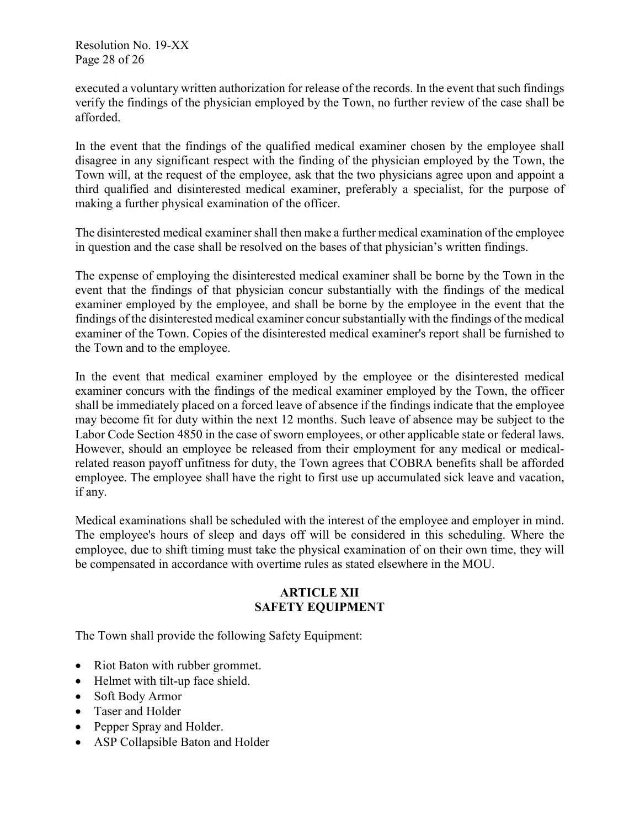Resolution No. 19-XX Page 28 of 26

executed a voluntary written authorization for release of the records. In the event that such findings verify the findings of the physician employed by the Town, no further review of the case shall be afforded.

In the event that the findings of the qualified medical examiner chosen by the employee shall disagree in any significant respect with the finding of the physician employed by the Town, the Town will, at the request of the employee, ask that the two physicians agree upon and appoint a third qualified and disinterested medical examiner, preferably a specialist, for the purpose of making a further physical examination of the officer.

The disinterested medical examiner shall then make a further medical examination of the employee in question and the case shall be resolved on the bases of that physician's written findings.

The expense of employing the disinterested medical examiner shall be borne by the Town in the event that the findings of that physician concur substantially with the findings of the medical examiner employed by the employee, and shall be borne by the employee in the event that the findings of the disinterested medical examiner concur substantially with the findings of the medical examiner of the Town. Copies of the disinterested medical examiner's report shall be furnished to the Town and to the employee.

In the event that medical examiner employed by the employee or the disinterested medical examiner concurs with the findings of the medical examiner employed by the Town, the officer shall be immediately placed on a forced leave of absence if the findings indicate that the employee may become fit for duty within the next 12 months. Such leave of absence may be subject to the Labor Code Section 4850 in the case of sworn employees, or other applicable state or federal laws. However, should an employee be released from their employment for any medical or medicalrelated reason payoff unfitness for duty, the Town agrees that COBRA benefits shall be afforded employee. The employee shall have the right to first use up accumulated sick leave and vacation, if any.

Medical examinations shall be scheduled with the interest of the employee and employer in mind. The employee's hours of sleep and days off will be considered in this scheduling. Where the employee, due to shift timing must take the physical examination of on their own time, they will be compensated in accordance with overtime rules as stated elsewhere in the MOU.

# **ARTICLE XII SAFETY EQUIPMENT**

The Town shall provide the following Safety Equipment:

- Riot Baton with rubber grommet.
- Helmet with tilt-up face shield.
- Soft Body Armor
- Taser and Holder
- Pepper Spray and Holder.
- ASP Collapsible Baton and Holder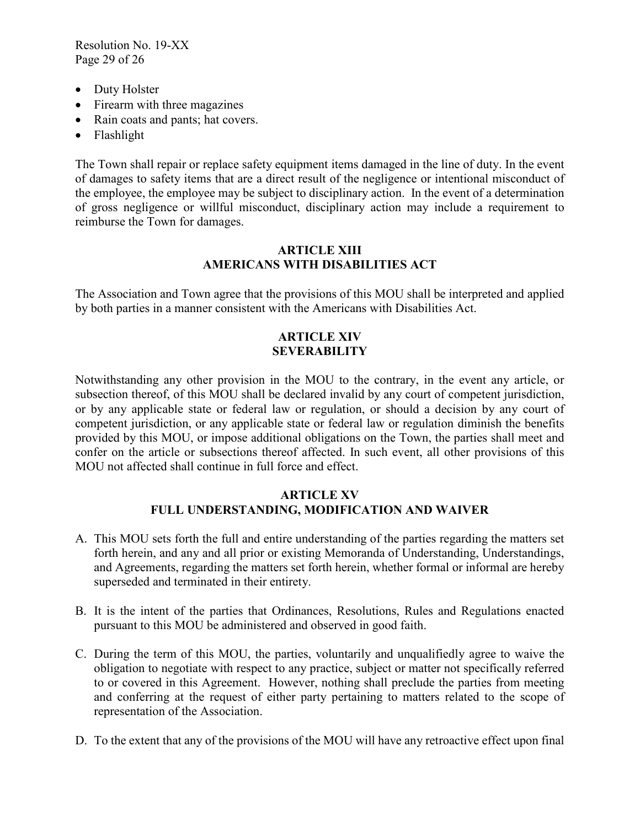Resolution No. 19-XX Page 29 of 26

- Duty Holster
- Firearm with three magazines
- Rain coats and pants; hat covers.
- Flashlight

The Town shall repair or replace safety equipment items damaged in the line of duty. In the event of damages to safety items that are a direct result of the negligence or intentional misconduct of the employee, the employee may be subject to disciplinary action. In the event of a determination of gross negligence or willful misconduct, disciplinary action may include a requirement to reimburse the Town for damages.

## **ARTICLE XIII AMERICANS WITH DISABILITIES ACT**

The Association and Town agree that the provisions of this MOU shall be interpreted and applied by both parties in a manner consistent with the Americans with Disabilities Act.

#### **ARTICLE XIV SEVERABILITY**

Notwithstanding any other provision in the MOU to the contrary, in the event any article, or subsection thereof, of this MOU shall be declared invalid by any court of competent jurisdiction, or by any applicable state or federal law or regulation, or should a decision by any court of competent jurisdiction, or any applicable state or federal law or regulation diminish the benefits provided by this MOU, or impose additional obligations on the Town, the parties shall meet and confer on the article or subsections thereof affected. In such event, all other provisions of this MOU not affected shall continue in full force and effect.

## **ARTICLE XV FULL UNDERSTANDING, MODIFICATION AND WAIVER**

- A. This MOU sets forth the full and entire understanding of the parties regarding the matters set forth herein, and any and all prior or existing Memoranda of Understanding, Understandings, and Agreements, regarding the matters set forth herein, whether formal or informal are hereby superseded and terminated in their entirety.
- B. It is the intent of the parties that Ordinances, Resolutions, Rules and Regulations enacted pursuant to this MOU be administered and observed in good faith.
- C. During the term of this MOU, the parties, voluntarily and unqualifiedly agree to waive the obligation to negotiate with respect to any practice, subject or matter not specifically referred to or covered in this Agreement. However, nothing shall preclude the parties from meeting and conferring at the request of either party pertaining to matters related to the scope of representation of the Association.
- D. To the extent that any of the provisions of the MOU will have any retroactive effect upon final